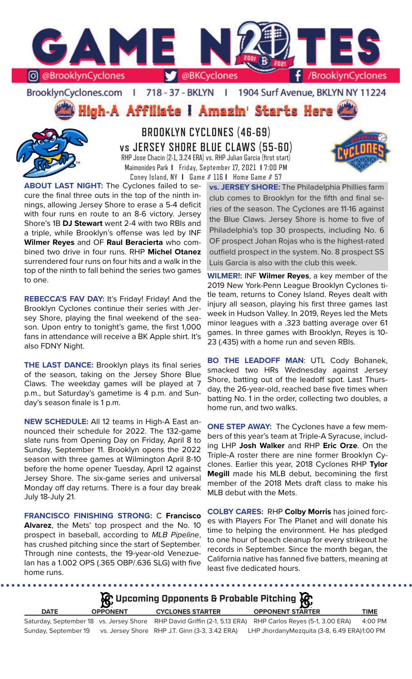

BrooklynCyclones.com | 718 - 37 - BKLYN | 1904 Surf Avenue, BKLYN NY 11224

High-A Affiliate I Amazin' Starts Here



**BROOKLYN CYCLONES (46-69) vs JERSEY SHORE BLUE CLAWS (55-60)** RHP Jose Chacin (2-1, 3.24 ERA) vs. RHP Julian Garcia (first start) Maimonides Park **I** Friday, September 17, 2021 **I** 7:00 PM Coney Island, NY **I** Game # 116 **I** Home Game # 57

**ABOUT LAST NIGHT:** The Cyclones failed to secure the final three outs in the top of the ninth innings, allowing Jersey Shore to erase a 5-4 deficit with four runs en route to an 8-6 victory. Jersey Shore's 1B **DJ Stewart** went 2-4 with two RBIs and a triple, while Brooklyn's offense was led by INF **Wilmer Reyes** and OF **Raul Beracierta** who combined two drive in four runs. RHP **Michel Otanez**  surrendered four runs on four hits and a walk in the top of the ninth to fall behind the series two games to one.

**REBECCA'S FAV DAY:** It's Friday! Friday! And the Brooklyn Cyclones continue their series with Jersey Shore, playing the final weekend of the season. Upon entry to tonight's game, the first 1,000 fans in attendance will receive a BK Apple shirt. It's also FDNY Night.

**THE LAST DANCE:** Brooklyn plays its final series of the season, taking on the Jersey Shore Blue Claws. The weekday games will be played at 7 p.m., but Saturday's gametime is 4 p.m. and Sunday's season finale is 1 p.m.

**NEW SCHEDULE:** All 12 teams in High-A East announced their schedule for 2022. The 132-game slate runs from Opening Day on Friday, April 8 to Sunday, September 11. Brooklyn opens the 2022 season with three games at Wilmington April 8-10 before the home opener Tuesday, April 12 against Jersey Shore. The six-game series and universal Monday off day returns. There is a four day break July 18-July 21.

**FRANCISCO FINISHING STRONG:** C **Francisco Alvarez**, the Mets' top prospect and the No. 10 prospect in baseball, according to *MLB Pipeline*, has crushed pitching since the start of September. Through nine contests, the 19-year-old Venezuelan has a 1.002 OPS (.365 OBP/.636 SLG) with five home runs.

**vs. JERSEY SHORE:** The Philadelphia Phillies farm club comes to Brooklyn for the fifth and final series of the season. The Cyclones are 11-16 against the Blue Claws. Jersey Shore is home to five of Philadelphia's top 30 prospects, including No. 6 OF prospect Johan Rojas who is the highest-rated outfield prospect in the system. No. 8 prospect SS Luis Garcia is also with the club this week.

**WILMER!:** INF **Wilmer Reyes**, a key member of the 2019 New York-Penn League Brooklyn Cyclones title team, returns to Coney Island. Reyes dealt with injury all season, playing his first three games last week in Hudson Valley. In 2019, Reyes led the Mets minor leagues with a .323 batting average over 61 games. In three games with Brooklyn, Reyes is 10- 23 (.435) with a home run and seven RBIs.

**BO THE LEADOFF MAN**: UTL Cody Bohanek, smacked two HRs Wednesday against Jersey Shore, batting out of the leadoff spot. Last Thursday, the 26-year-old, reached base five times when batting No. 1 in the order, collecting two doubles, a home run, and two walks.

**ONE STEP AWAY:** The Cyclones have a few members of this year's team at Triple-A Syracuse, including LHP **Josh Walker** and RHP **Eric Orze**. On the Triple-A roster there are nine former Brooklyn Cyclones. Earlier this year, 2018 Cyclones RHP **Tylor Megill** made his MLB debut, becomining the first member of the 2018 Mets draft class to make his MLB debut with the Mets.

**COLBY CARES:** RHP **Colby Morris** has joined forces with Players For The Planet and will donate his time to helping the environment. He has pledged to one hour of beach cleanup for every strikeout he records in September. Since the month began, the California native has fanned five batters, meaning at least five dedicated hours.

**DATE OPPONENT CYCLONES STARTER OPPONENT STARTER TIME** Saturday, September 18 vs. Jersey Shore RHP David Griffin (2-1, 5.13 ERA) RHP Carlos Reyes (5-1, 3.00 ERA) 4:00 PM Sunday, September 19 vs. Jersey Shore RHP J.T. Ginn (3-3, 3.42 ERA) LHP JhordanyMezquita (3-8, 6.49 ERA)1:00 PM **Upcoming Opponents & Probable Pitching**

. . . . . . . . . . . . . . . . . .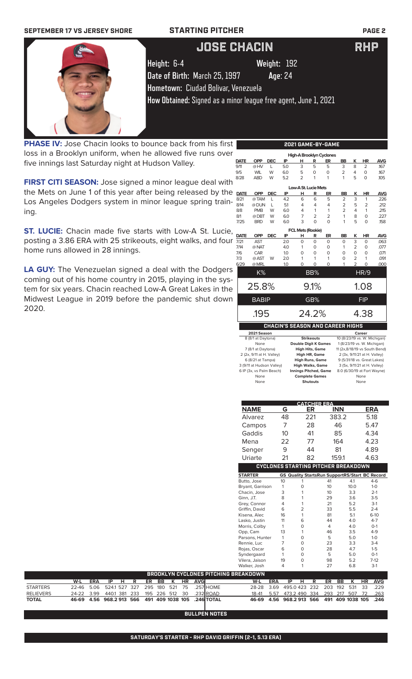

**PHASE IV:** Jose Chacin looks to bounce back from his first loss in a Brooklyn uniform, when he allowed five runs over five innings last Saturday night at Hudson Valley.

**FIRST CITI SEASON:** Jose signed a minor league deal with the Mets on June 1 of this year after being released by the Los Angeles Dodgers system in minor league spring training.

**ST. LUCIE:** Chacin made five starts with Low-A St. Lucie, posting a 3.86 ERA with 25 strikeouts, eight walks, and four home runs allowed in 28 innings.

**LA GUY:** The Venezuelan signed a deal with the Dodgers coming out of his home country in 2015, playing in the system for six years. Chacin reached Low-A Great Lakes in the Midwest League in 2019 before the pandemic shut down 2020.

|             |              |            |     |                          |                | 2021 GAME-BY-GAME                       |                |                |                          |            |
|-------------|--------------|------------|-----|--------------------------|----------------|-----------------------------------------|----------------|----------------|--------------------------|------------|
|             |              |            |     |                          |                | <b>High-A Brooklyn Cyclones</b>         |                |                |                          |            |
| <b>DATE</b> | OPP          | <b>DEC</b> | IP  | н                        | R              | ER                                      | <b>BB</b>      | Κ              | <b>HR</b>                | <b>AVG</b> |
| 9/11        | @HV          | L          | 5.0 | 3                        | 5              | 5                                       | 3              | 8              | $\overline{2}$           | .167       |
| 9/5         | <b>WIL</b>   | W          | 6.0 | 5                        | 0              | $\Omega$                                | $\overline{2}$ | 4              | 0                        | .167       |
| 8/28        | <b>ABD</b>   | W          | 5.2 | $\overline{2}$           | 1              | 1                                       | 1              | 5              | $\Omega$                 | .105       |
|             |              |            |     | Low-A St. Lucie Mets     |                |                                         |                |                |                          |            |
| <b>DATE</b> | <b>OPP</b>   | <b>DEC</b> | IP  | н                        | R              | ER                                      | <b>BB</b>      | ĸ              | <b>HR</b>                | <b>AVG</b> |
| 8/21        | @TAM         | L          | 4.2 | 6                        | 6              | 5                                       | $\overline{2}$ | 3              | 1                        | .226       |
| 8/14        | @ DUN        | L          | 51  | 4                        | 4              | 4                                       | 2              | 5              | 2                        | .212       |
| 8/8         | <b>PMB</b>   | W          | 6.0 | 4                        | 1              | 1                                       | $\overline{2}$ | 4              | 1                        | .215       |
| 8/1         | @DBT         | W          | 6.0 | 7                        | $\overline{2}$ | $\overline{2}$                          | 1              | 8              | 0                        | .227       |
| 7/25        | <b>BRD</b>   | W          | 6.0 | 3                        | $\Omega$       | $\Omega$                                | 1              | 5              | $\Omega$                 | .158       |
|             |              |            |     | <b>FCL Mets (Rookie)</b> |                |                                         |                |                |                          |            |
| <b>DATE</b> | <b>OPP</b>   | <b>DEC</b> | IP  | н                        | R              | ER                                      | <b>BB</b>      | ĸ              | <b>HR</b>                | <b>AVG</b> |
| 7/21        | <b>AST</b>   |            | 2.0 | $\Omega$                 | $\Omega$       | 0                                       | 0              | 3              | 0                        | .063       |
| 7/14        | @ NAT        |            | 4.0 | 1                        | $\Omega$       | O                                       | 1              | $\overline{2}$ | 0                        | .077       |
| 7/6         | CAR          |            | 1.0 | 0                        | $\Omega$       | O                                       | 0              | $\Omega$       | 0                        | .071       |
| 7/3         | @ AST        | W          | 2.0 | 1                        | 1              | 1                                       | 0              | $\overline{2}$ | 1                        | .091       |
| 6/29        | @ MRL        |            | 1.0 | $\Omega$                 | $\Omega$       | O                                       | 1              | $\overline{2}$ | $\Omega$                 | .000       |
|             | K%           |            |     |                          | BB%            |                                         |                |                | $\overline{\text{HR/9}}$ |            |
|             |              |            |     |                          |                |                                         |                |                |                          |            |
|             | 25.8%        |            |     |                          | 9.1%           |                                         |                |                | 1.08                     |            |
|             | <b>BABIP</b> |            |     |                          | GB%            |                                         |                |                | FIP                      |            |
|             |              |            |     |                          |                |                                         |                |                |                          |            |
|             | .195         |            |     |                          | 24.2%          |                                         |                |                | 4.38                     |            |
|             |              |            |     |                          |                | <b>CHACIN'S SEASON AND CAREER HIGHS</b> |                |                |                          |            |
|             | 2021 Season  |            |     |                          |                |                                         |                |                | Career                   |            |

| 8 (8/1 at Daytona)        | <b>Strikeouts</b>            | 10 (8/23/19 vs. W. Michigan)  |
|---------------------------|------------------------------|-------------------------------|
| None                      | <b>Double Digit K Games</b>  | 1 (8/23/19 vs. W. Michigan)   |
| 7 (8/1 at Daytona)        | <b>High Hits, Game</b>       | 11 (2x,8/18/19 vs South Bend) |
| 2 (2x, 9/11 at H. Valley) | High HR, Game                | 2 (3x, 9/11/21 at H. Valley)  |
| 6 (8/21 at Tampa)         | <b>High Runs, Game</b>       | 9 (5/31/18 vs. Great Lakes)   |
| 3 (9/11 at Hudson Valley) | <b>High Walks, Game</b>      | 3 (5x, 9/11/21 at H. Valley)  |
| 6 IP (3x, vs Palm Beach)  | <b>Innings Pitched, Game</b> | 8.0 (6/30/19 at Fort Wayne)   |
| None                      | <b>Complete Games</b>        | None                          |
| None                      | <b>Shutouts</b>              | None                          |

| <b>NAME</b>                    |            | G                                                           |                      | ER  | <b>CATCHER ERA</b> | <b>INN</b> |              |    | <b>ERA</b>      |
|--------------------------------|------------|-------------------------------------------------------------|----------------------|-----|--------------------|------------|--------------|----|-----------------|
| Alvarez                        |            | 48                                                          |                      | 221 |                    | 383.2      |              |    | 5.18            |
| Campos                         |            | 7                                                           |                      | 28  |                    | 46         |              |    | 5.47            |
| Gaddis                         |            | 10                                                          |                      | 41  |                    | 85         |              |    | 4.34            |
| Mena                           |            | 22                                                          |                      | 77  |                    | 164        |              |    | 4.23            |
| Senger                         |            | 9                                                           |                      | 44  |                    | 81         |              |    | 4.89            |
| Uriarte                        |            | 21                                                          |                      | 82  |                    | 159.1      |              |    | 4.63            |
|                                |            | <b>CYCLONES STARTING PITCHER BREAKDOWN</b>                  |                      |     |                    |            |              |    |                 |
|                                |            |                                                             |                      |     |                    |            |              |    |                 |
| <b>STARTER</b><br>Butto, Jose  |            | <b>GS Quality StartsRun SupportRS/Start BC Record</b><br>10 | 1                    |     | 41                 |            | 4.1          |    | $4-6$           |
| Bryant, Garrison               |            | 1                                                           | $\mathbf 0$          |     | 10                 |            | 10.0         |    | $1-0$           |
| Chacin, Jose                   |            | 3                                                           | 1                    |     | 10                 |            | 3.3          |    | $2-1$           |
| Ginn, J.T.                     |            | 8                                                           | 1                    |     | 29                 |            | 3.6          |    | $3-5$           |
| Grey, Connor                   |            | 4                                                           | 1                    |     | 21                 |            | 5.2          |    | $3-1$           |
| Griffin, David                 |            | 6                                                           | $\overline{2}$       |     | 33                 |            | 5.5          |    | $2 - 4$         |
| Kisena, Alec                   |            | 16                                                          | 1                    |     | 81                 |            | 5.1          |    | $6-10$          |
| Lasko, Justin                  |            | 11                                                          | 6                    |     | 44                 |            | 4.0          |    | $4 - 7$         |
| Morris, Colby                  |            | 1                                                           | $\Omega$             |     | $\overline{4}$     |            | 4.0          |    | $O-1$           |
| Opp, Cam                       |            | 13                                                          | 1                    |     | 46                 |            | 3.5          |    | $4 - 9$         |
| Parsons, Hunter                |            | 1                                                           | $\Omega$             |     | 5                  |            | 5.0          |    | $1-0$           |
| Rennie, Luc                    |            | 7                                                           | $\Omega$             |     | 23                 |            | 3.3          |    | $3-4$           |
| Rojas, Oscar                   |            | 6                                                           | $\Omega$             |     | 28                 |            | 4.7          |    | $1-5$           |
| Syndergaard                    |            | 1<br>19                                                     | $\Omega$<br>$\Omega$ |     | 5<br>98            |            | 5.0<br>5.2   |    | $O-1$<br>$7-12$ |
| Vilera, Jaison<br>Walker, Josh |            | 4                                                           | 1                    |     | 27                 |            | 6.8          |    | $3-1$           |
| PITCHING BREAKDOWN             |            |                                                             |                      |     |                    |            |              |    |                 |
| W-L                            | <b>ERA</b> | IP                                                          | н                    | R   | ER                 | BB         | ĸ            | HR | <b>AVG</b>      |
| 28-28<br>HOME                  | 3.69       | 495.0423                                                    |                      | 232 | 203                | 192        | 531          | 33 | .229            |
| ROAD<br>18-41                  | 5.57       | 473.2 490                                                   |                      | 334 | 293                | 217        | 507          | 72 | .263            |
| 46-69<br><b>TOTAL</b>          | 4.56       | 968.2913                                                    |                      | 566 | 491                |            | 409 1038 105 |    | .246            |

**BULLPEN NOTES**

**BROOKLYN CYCLONES PITCHING B** 

**W-L ERA IP H R ER BB K HR AVG**

STARTERS 22-46 5.06 524.1 527 327 295 180 521 75 .257 RELIEVERS 24-22 3.99 440.1 381 233 195 226 512 30 .232 **TOTAL 46-69 4.56 968.2 913 566 491 409 1038 105 .246**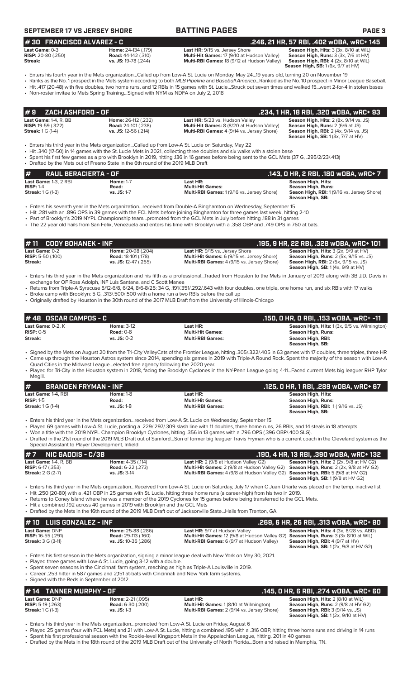| SEPTEMBER 17 VS JERSEY SHORE |
|------------------------------|
|------------------------------|

## **SEPTEMBER 17 VS JERSEY SHORE BATTING PAGES PAGE 3**

**# 30 FRANCISCO ALVAREZ - C .246, 21 HR, 57 RBI, .402 wOBA, wRC+ 145**

| Last Game: 0-3            | <b>Home: 24-134 (.179)</b> |  |
|---------------------------|----------------------------|--|
| <b>RISP:</b> 20-80 (.250) | <b>Road:</b> 44-142 (.310) |  |
| Streak:                   | vs. JS: 19-78 (.244)       |  |
|                           |                            |  |

**Last Game:** 0-3 **Home:** 24-134 (.179) **Last HR:** 9/15 vs. Jersey Shore **Season High, Hits:** 3 (3x, 8/10 at WIL) **Aulti-Hit Games:** 17 (9/10 at Hudson Valley) **Kulti-RBI Games:** 18 (9/12 at Hudson Valley)

**Season High, RBI:** 4 (2x, 8/10 at WIL)<br>**Season High, RBI:** 4 (2x, 8/10 at WIL)

• Enters his fourth year in the Mets organization...Called up from Low-A St. Lucie on Monday, May 24...19 years old, turning 20 on November 19 • Ranks as the No. 1 prospect in the Mets system according to both *MLB Pipeline* and *Baseball America*...Ranked as the No. 10 prospect in Minor League Baseball. • Hit .417 (20-48) with five doubles, two home runs, and 12 RBIs in 15 games with St. Lucie...Struck out seven times and walked 15...went 2-for-4 in stolen bases

• Non-roster invitee to Mets Spring Training...Signed with NYM as NDFA on July 2, 2018

|  | indi-loster invitee to mets opinity frainingorg/led with in him as nuclearly with our stage. Zo lo |  |  |
|--|----------------------------------------------------------------------------------------------------|--|--|
|  |                                                                                                    |  |  |

|                          | 1#9    ZACH ASHFORD - OF                                  |                                                                             |                                                                                                                                           | .234, 1 HR, 18 RBI, .320 WOBA, WRC+ 93                                                                                                                                                |
|--------------------------|-----------------------------------------------------------|-----------------------------------------------------------------------------|-------------------------------------------------------------------------------------------------------------------------------------------|---------------------------------------------------------------------------------------------------------------------------------------------------------------------------------------|
| <b>Streak:</b> 1 G (1-4) | <b>Last Game: 1-4, R, BB</b><br><b>RISP:</b> 19-59 (.322) | Home: 26-112 (.232)<br><b>Road:</b> 24-101 (.238)<br>vs. JS: $12-56$ (.214) | Last HR: 5/23 vs. Hudson Valley<br><b>Multi-Hit Games:</b> 8 (8/20 at Hudson Valley)<br><b>Multi-RBI Games:</b> 4 (9/14 vs. Jersey Shore) | <b>Season High, Hits: 2 (8x, 9/14 vs. JS)</b><br><b>Season High, Runs: 2 (6/6 at JS)</b><br><b>Season High, RBI:</b> 2 (4x, 9/14 vs. JS)<br><b>Season High, SB: 1 (3x, 7/7 at HV)</b> |

• Enters his third year in the Mets organization...Called up from Low-A St. Lucie on Saturday, May 22

• Hit .340 (17-50) in 14 games with the St. Lucie Mets in 2021, collecting three doubles and six walks with a stolen base

• Spent his first few games as a pro with Brooklyn in 2019, hitting .136 in 16 games before being sent to the GCL Mets (37 G, .295/2/23/.413)

• Drafted by the Mets out of Fresno State in the 6th round of the 2019 MLB Draft

| #<br>RAUL BERACIERTA - OF \         |                  |                                                   | , 143, 0 HR, 2 RBI, .180 wOBA, wRC+ 7.           |
|-------------------------------------|------------------|---------------------------------------------------|--------------------------------------------------|
| <b>Last Game: 1-3, 2 RBI</b>        | <b>Home: 1-7</b> | Last HR:                                          | <b>Season High, Hits:</b>                        |
| $RISP: 1-4$                         | Road:            | <b>Multi-Hit Games:</b>                           | Season High, Runs:                               |
| <b>Streak:</b> $1 \text{ G } (1-3)$ | vs. JS: 1-7      | <b>Multi-RBI Games: 1 (9/16 vs. Jersey Shore)</b> | <b>Seaon High, RBI:</b> 1(9/16 vs. Jersey Shore) |
|                                     |                  |                                                   | Season High, SB:                                 |

• Enters his seventh year in the Mets organization...received from Double-A Binghamton on Wednesday, September 15

• Hit .281 with an .896 OPS in 39 games with the FCL Mets before joining Binghamton for three games last week, hitting 2-10

• Part of Brooklyn's 2019 NYPL Championship team...promoted from the GCL Mets in July before hitting .188 in 31 games

• The 22 year old hails from San Felix, Venezuela and enters his time with Brooklyn with a .358 OBP and .749 OPS in 760 at bats.

## **# 48 OSCAR CAMPOS - C .150, 0 HR, 0 RBI, .153 wOBA, wRC+ -11 Last Game:** 0-2, K **Home:** 3-12 **Last HR: Season High, Hits:** 1 (3x, 9/5 vs. Wilmington) **# 11 CODY BOHANEK - INF .195, 9 HR, 22 RBI, .328 wOBA, wRC+ 101 Last Game:** 0-2 **Home:** 20-98 (.204) **Last HR:** 9/15 vs. Jersey Shore **Season High, Hits:** 3 (2x, 9/9 at HV) **RISP:** 5-50 (.100) **Road:** 18-101 (.178) **Multi-Hit Games:** 6 (9/15 vs. Jersey Shore) **Season High, Runs:** 2 (5x, 9/15 vs. JS) **Streak: vs. JS:** 12-47 (.255) **Multi-RBI Games:** 4 (9/15 vs. Jersey Shore) **Seaon High, RBI:** 2 (5x, 9/15 vs. JS) **Season High, SB:** 1 (4x, 9/9 at HV) • Enters his third year in the Mets organization and his fifth as a professional...Traded from Houston to the Mets in January of 2019 along with 3B J.D. Davis in exchange for OF Ross Adolph, INF Luis Santana, and C Scott Manea • Returns from Triple-A Syracuse 5/12-6/8, 6/24, 8/6-8/25: 34 G, .191/.351/.292/.643 with four doubles, one triple, one home run, and six RBIs with 17 walks • Broke camp with Brooklyn: 5 G, .313/.500/.500 with a home run a two RBIs before the call up • Originally drafted by Houston in the 30th round of the 2017 MLB Draft from the University of Illinois-Chicago

| <b>Last Game:</b> 0-2, K | <b>Home: 3-12</b> | Last HR:                |                    | <b>Season High, Hits: 1 (3x, 9/5 vs. Wilmington)</b> |
|--------------------------|-------------------|-------------------------|--------------------|------------------------------------------------------|
| $RISP: 0-5$              | Road: $0-8$       | <b>Multi-Hit Games:</b> | Season High, Runs: |                                                      |
| <b>Streak:</b>           | $vs.$ JS: $0-2$   | <b>Multi-RBI Games:</b> | Season High, RBI:  |                                                      |
|                          |                   |                         | Season High, SB:   |                                                      |
|                          |                   |                         |                    |                                                      |

• Signed by the Mets on August 20 from the Tri-City ValleyCats of the Frontier League, hitting .305/.322/.405 in 63 games with 17 doubles, three triples, three HR • Came up through the Houston Astros system since 2014, spending six games in 2019 with Triple-A Round Rock. Spent the majority of the season with Low-A Quad Cities in the Midwest League...elected free agency following the 2020 year.

• Played for Tri-City in the Houston system in 2018, facing the Brooklyn Cyclones in the NY-Penn League going 4-11...Faced current Mets big leaguer RHP Tylor Megill.

| <b>I#</b><br><b>BRANDEN FRYMAN - INF</b> |                  |                         | .125, 0 HR, 1 RBI, .289 wOBA, wRC+ 67                        |
|------------------------------------------|------------------|-------------------------|--------------------------------------------------------------|
| <b>Last Game: 1-4. RBI</b>               | <b>Home: 1-8</b> | Last HR:                | Season High, Hits:                                           |
| $RISP: 1-5$                              | Road:            | <b>Multi-Hit Games:</b> | <b>Season High, Runs:</b>                                    |
| <b>Streak:</b> 1 G (1-4)                 | $vs.$ JS: 1-8    | <b>Multi-RBI Games:</b> | <b>Season High, RBI: 1 (9/16 vs. JS)</b><br>Season High, SB: |

- Enters his third year in the Mets organization...received from Low-A St. Lucie on Wednesday, September 15
- Played 69 games with Low-A St. Lucie, posting a .229/.297/.309 slash line with 11 doubles, three home runs, 26 RBIs, and 14 steals in 18 attempts
- Won a title with the 2019 NYPL Champion Brooklyn Cyclones, hitting .356 in 13 games with a .796 OPS (.396 OBP/.400 SLG). • Drafted in the 21st round of the 2019 MLB Draft out of Samford...Son of former big leaguer Travis Fryman who is a current coach in the Cleveland system as the Special Assistant to Player Development, Infield

| $# 7$ NIC GADDIS - C/3B      |                          |                                                                                                    | .190, 4 HR, 13 RBI, .390 wOBA, wRC+ 132                |
|------------------------------|--------------------------|----------------------------------------------------------------------------------------------------|--------------------------------------------------------|
| <b>Last Game: 1-4, R, BB</b> | <b>Home: 4-35 (.114)</b> | <b>Last HR:</b> 2 (9/8 at Hudson Valley G2)                                                        | <b>Season High, Hits:</b> $2$ ( $2x$ , $9/8$ at HV G2) |
| <b>RISP:</b> $6-17$ (.353)   | <b>Road: 6-22 (.273)</b> | <b>Multi-Hit Games:</b> 2 (9/8 at Hudson Valley G2) <b>Season High, Runs:</b> 2 (2x, 9/8 at HV G2) |                                                        |
| <b>Streak: 2 G (2-7)</b>     | $vs.$ JS: $3-14$         | <b>Multi-RBI Games:</b> 4 (9/8 at Hudson Valley G2) <b>Season High, RBI:</b> 5 (9/8 at HV G2)      |                                                        |
|                              |                          |                                                                                                    | <b>Season High, SB: 1 (9/8 at HV G2)</b>               |

• Enters his third year in the Mets organization...Received from Low-A St. Lucie on Saturday, July 17 when C Juan Uriarte was placed on the temp. inactive list • Hit .250 (20-80) with a .421 OBP in 25 games with St. Lucie, hitting three home runs (a career-high) from his two in 2019.

- Returns to Coney Island where he was a member of the 2019 Cyclones for 15 games before being transferred to the GCL Mets.
- Hit a combined .192 across 40 games in 2019 with Brooklyn and the GCL Mets
- Drafted by the Mets in the 16th round of the 2019 MLB Draft out of Jacksonville State...Hails from Trenton, GA.

| $# 10$ LUIS GONZALEZ - INF                                               |                                                                          |                                                                                                                                                                                               | .269. 6 HR. 26 RBI. .313 wOBA. wRC+ 90                                                                                                    |
|--------------------------------------------------------------------------|--------------------------------------------------------------------------|-----------------------------------------------------------------------------------------------------------------------------------------------------------------------------------------------|-------------------------------------------------------------------------------------------------------------------------------------------|
| Last Game: DNP<br><b>RISP:</b> 16-55 (.291)<br><b>Streak: 3 G (3-11)</b> | Home: 25-88 (.286)<br><b>Road: 29-113 (.160)</b><br>vs. JS: 10-35 (.286) | <b>Last HR: 9/7 at Hudson Valley</b><br><b>Multi-Hit Games:</b> 12 (9/8 at Hudson Valley G2) <b>Season High, Runs:</b> 3 (3x 8/10 at WIL)<br><b>Multi-RBI Games:</b> 6 (9/7 at Hudson Valley) | <b>Season High, Hits: 4 (3x, 8/28 vs. ABD)</b><br><b>Season High, RBI:</b> 4 (9/7 at HV)<br><b>Season High, SB:</b> $1(2x, 9/8$ at HV G2) |
|                                                                          |                                                                          |                                                                                                                                                                                               |                                                                                                                                           |

• Enters his first season in the Mets organization, signing a minor league deal with New York on May 30, 2021.

Played three games with Low-A St. Lucie, going 3-12 with a double.

Spent seven seasons in the Cincinnati farm system, reaching as high as Triple-A Louisville in 2019

• Career .253 hitter in 587 games and 2,151 at-bats with Cincinnati and New York farm systems. • Signed with the Reds in September of 2012.

## **# 14 TANNER MURPHY - OF .145, 0 HR, 6 RBI, .274 wOBA, wRC+ 60**

| $\mathbf{r}$ is taunism to the state |                          |                                                   |                                             |
|--------------------------------------|--------------------------|---------------------------------------------------|---------------------------------------------|
| <b>Last Game: DNP</b>                | <b>Home: 2-21 (.095)</b> | Last HR:                                          | <b>Season High, Hits: 2 (8/10 at WIL)</b>   |
| <b>RISP:</b> 5-19 $(.263)$           | <b>Road:</b> 6-30 (.200) | <b>Multi-Hit Games: 1 (8/10 at Wilmington)</b>    | <b>Season High, Runs: 2 (9/8 at HV G2)</b>  |
| <b>Streak:</b> 1 G (1-3)             | $vs.$ JS: 1-3            | <b>Multi-RBI Games: 2 (9/14 vs. Jersey Shore)</b> | <b>Season High, RBI: 3 (9/14 vs. JS)</b>    |
|                                      |                          |                                                   | <b>Season High, SB:</b> $1(2x, 9/10$ at HV) |

• Enters his third year in the Mets organization...promoted from Low-A St. Lucie on Friday, August 6

- Played 25 games (four with FCL Mets) and 21 with Low-A St. Lucie, hitting a combined .195 with a .316 OBP, hitting three home runs and driving in 14 runs • Spent his first professional season with the Rookie-level Kingsport Mets in the Appalachian League, hitting. 201 in 40 games
- Drafted by the Mets in the 18th round of the 2019 MLB Draft out of the University of North Florida...Born and raised in Memphis, TN.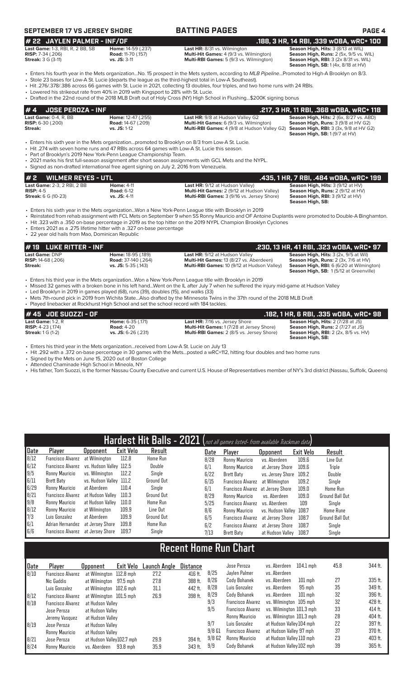## **SEPTEMBER 17 VS JERSEY SHORE BATTING PAGES PAGE 4**

**# 22 JAYLEN PALMER - INF/OF .188, 3 HR, 14 RBI, .339 wOBA, wRC+ 100 Last Game:** 1-3, RBI, R, 2 BB, SB **Home:** 14-59 (.237) **Last HR:** 8/31 vs. Wilmington **Season High, Hits:** 3 (8/13 at WIL) **RISP:** 7-34 (.206) **Road:** 11-70 (.157) **Multi-Hit Games:** 4 (9/3 vs. Wilmington) **Season High, Runs:** 2 (5x, 9/5 vs. WIL) **Streak:** 3 G (3-11) **vs. JS:** 3-11 **Multi-RBI Games:** 5 (9/3 vs. Wilmington) **Season High, RBI:** 3 (2x 8/31 vs. WIL)

**Season High, RBI:** 3 (2x 8/31 vs. WIL)<br>**Season High, SB:** 1 (4x, 8/18 at HV)

- Enters his fourth year in the Mets organization...No. 15 prospect in the Mets system, according to *MLB Pipeline*...Promoted to High-A Brooklyn on 8/3. • Stole 23 bases for Low-A St. Lucie (departs the league as the third-highest total in Low-A Southeast).
- Hit .276/.378/.386 across 66 games with St. Lucie in 2021, collecting 13 doubles, four triples, and two home runs with 24 RBIs.
- Lowered his strikeout rate from 40% in 2019 with Kingsport to 28% with St. Lucie.
- Drafted in the 22nd round of the 2018 MLB Draft out of Holy Cross (NY) High School in Flushing...\$200K signing bonus

| l#4     | UOSE PEROZA - INF        |                                 |                                                                                                   | .217, 3 HR, 11 RBI, .368 wOBA, wRC+ 118        |
|---------|--------------------------|---------------------------------|---------------------------------------------------------------------------------------------------|------------------------------------------------|
|         | Last Game: $0-4$ . R. BB | <b>Home:</b> $12-47$ ( $.255$ ) | <b>Last HR:</b> 9/8 at Hudson Valley G2                                                           | <b>Season High, Hits: 2 (6x, 8/27 vs. ABD)</b> |
|         | <b>RISP:</b> 6-30 (.200) | <b>Road:</b> 14-67 (.209)       | <b>Multi-Hit Games:</b> 6 (9/3 vs. Wilmington)                                                    | <b>Season High, Runs: 3 (9/8 at HV G2)</b>     |
| Streak: |                          | $vs.$ JS: 1-12                  | <b>Multi-RBI Games:</b> 4 (9/8 at Hudson Valley G2) <b>Season High, RBI:</b> 3 (3x, 9/8 at HV G2) |                                                |
|         |                          |                                 |                                                                                                   | <b>Season High, SB: 1(9/7 at HV)</b>           |

• Enters his sixth year in the Mets organization...promoted to Brooklyn on 8/3 from Low-A St. Lucie.

• Hit .274 with seven home runs and 47 RBIs across 64 games with Low-A St. Lucie this season.

• Part of Brooklyn's 2019 New York-Penn League Championship Team.

• 2021 marks his first full-season assignment after short season assignments with GCL Mets and the NYPL. • Signed as non-drafted international free agent signing on July 2, 2016 from Venezuela.

| #2<br><b>WILMER REYES - UTL</b>                   |                                        |                                                                                             | .435, 1 HR, 7 RBI, .484 WOBA, WRC+ 199                                               |
|---------------------------------------------------|----------------------------------------|---------------------------------------------------------------------------------------------|--------------------------------------------------------------------------------------|
| <b>Last Game: 2-3. 2 RBI. 2 BB</b><br>$RISP: 4-5$ | <b>Home: 4-11</b><br><b>Road: 6-12</b> | <b>Last HR: 9/12 at Hudson Valley)</b><br><b>Multi-Hit Games: 2 (9/12 at Hudson Valley)</b> | <b>Season High, Hits: 3 (9/12 at HV)</b><br><b>Season High, Runs: 2 (9/12 at HV)</b> |
| <b>Streak: 6 G (10-23)</b>                        | $vs.$ JS: 4-11                         | <b>Multi-RBI Games:</b> 3 (9/16 vs. Jersey Shore)                                           | <b>Season High, RBI:</b> $3(9/12$ at $HV$ )<br>Season High, SB:                      |

• Enters his sixth year in the Mets organization...Won a New York-Penn League title with Brooklyn in 2019

- Reinstated from rehab assignment with FCL Mets on September 9 when SS Ronny Mauricio and OF Antoine Duplantis were promoted to Double-A Binghamton. • Hit .323 with a .350 on-base percentage in 2019 as the top hitter on the 2019 NYPL Champion Brooklyn Cyclones
- 
- Enters 2021 as a .275 lifetime hitter with a .327 on-base percentage • 22 year old hails from Mao, Dominican Republic

### **# 19 LUKE RITTER - INF .230, 13 HR, 41 RBI, .323 wOBA, wRC+ 97 Last Game:** DNP **Home:** 18-95 (.189) **Last HR:** 9/12 at Hudson Valley **Season High, Hits:** 3 (2x, 9/5 at Wil) **RISP:** 14-68 (.206) **Road:** 37-140 (.264) **Multi-Hit Games:** 13 (8/27 vs. Aberdeen) **Season High, Runs:** 2 (3x, 7/6 at HV) **Streak: vs. JS:** 5-35 (.143) **Multi-RBI Games:** 10 (9/12 at Hudson Valley) **Season High, RBI:** 6 (6/20 at Wilmington)

**Season High, SB:** 1 (5/12 at Greenville)

• Enters his third year in the Mets organization...Won a New York-Penn League title with Brooklyn in 2019 • Missed 32 games with a broken bone in his left hand...Went on the IL after July 7 when he suffered the injury mid-game at Hudson Valley

• Led Brooklyn in 2019 in games played (68), runs (39), doubles (15), and walks (33)

• Mets 7th-round pick in 2019 from Wichita State...Also drafted by the Minnesota Twins in the 37th round of the 2018 MLB Draft ed in the backer at Rockhurst High School and set the school record with 184 tackle

| . Thuy calling bucket at Hockmandt High School and Scitting School Federal With TOT tuckids. |                                                                        |                                                                                                                                               |                                                                                                                                                         |
|----------------------------------------------------------------------------------------------|------------------------------------------------------------------------|-----------------------------------------------------------------------------------------------------------------------------------------------|---------------------------------------------------------------------------------------------------------------------------------------------------------|
| $#45$ JOE SUOZZI - OF                                                                        |                                                                        |                                                                                                                                               | .182. 1 HR. 6 RBI. .335 wOBA. wRC+ 98                                                                                                                   |
| Last Game: $1-2. R$<br><b>RISP:</b> $4-23$ (.174)<br><b>Streak:</b> $1 G (1-2)$              | <b>Home: 6-35 (.171)</b><br><b>Road: 4-20</b><br>$vs.$ JS: 6-26 (.231) | <b>Last HR: 7/16 vs. Jersey Shore</b><br><b>Multi-Hit Games: 1 (7/28 at Jersey Shore)</b><br><b>Multi-RBI Games: 2 (8/5 vs. Jersey Shore)</b> | <b>Season High, Hits: 2 (7/28 at JS)</b><br><b>Season High, Runs: 2 (7/27 at JS)</b><br><b>Season High, RBI:</b> 2 (2x, 8/5 vs. HV)<br>Season High, SB: |

• Enters his third year in the Mets organization...received from Low-A St. Lucie on July 13

• Hit .292 with a .372 on-base percentage in 30 games with the Mets...posted a wRC+112, hitting four doubles and two home runs

• Signed by the Mets on June 15, 2020 out of Boston College

- Attended Chaminade High School in Mineola, NY
- His father, Tom Suozzi, is the former Nassau County Executive and current U.S. House of Representatives member of NY's 3rd district (Nassau, Suffolk, Queens)

| Hardest Hit Balls - 2021 (not all games listed- from available Trackman data) |                                   |                         |                  |                   |  |      |                                   |                         |           |                        |
|-------------------------------------------------------------------------------|-----------------------------------|-------------------------|------------------|-------------------|--|------|-----------------------------------|-------------------------|-----------|------------------------|
| Date                                                                          | Player                            | Opponent                | <b>Exit Velo</b> | Result            |  | Date | Player                            | <b>Opponent</b>         | Exit Velo | Result                 |
| 8/12                                                                          | Francisco Alvarez                 | at Wilmington           | 112.8            | <b>Home Run</b>   |  | 8/28 | Ronny Mauricio                    | vs. Aberdeen            | 109.6     | Line Out               |
| 6/12                                                                          | Francisco Alvarez                 | vs. Hudson Valley 112.5 |                  | Double            |  | 6/1  | Ronny Mauricio                    | at Jersey Shore         | 109.6     | Triple                 |
| 9/5                                                                           | Ronny Mauricio                    | vs. Wilminaton          | 112.2            | Single            |  | 6/22 | Brett Baty                        | vs. Jersey Shore        | 109.2     | Double                 |
| 6/11                                                                          | Brett Baty                        | vs. Hudson Valley 111.2 |                  | <b>Ground Out</b> |  | 6/15 | Francisco Alvarez                 | at Wilmington           | 109.2     | Single                 |
| 6/29                                                                          | Ronny Mauricio                    | at Aberdeen             | 110.4            | Single            |  | 6/1  | Francisco Alvarez at Jersey Shore |                         | 109.0     | Home Run               |
| 8/21                                                                          | Francisco Alvarez                 | at Hudson Valley        | 110.3            | <b>Ground Out</b> |  | 8/29 | Ronny Mauricio                    | vs. Aberdeen            | 109.0     | <b>Ground Ball Out</b> |
| 9/8                                                                           | Ronny Mauricio                    | at Hudson Vallev        | 110.0            | Home Run          |  | 5/25 | Francisco Alvarez                 | vs. Aberdeen            | 109       | Single                 |
| B/12                                                                          | Ronny Mauricio                    | at Wilmington           | 109.9            | Line Out          |  | 8/6  | Ronny Mauricio                    | vs. Hudson Valley 108.7 |           | <b>Home Rune</b>       |
| $\frac{7}{3}$ 6/1                                                             | Luis Gonzalez                     | at Aberdeen             | 109.9            | Ground Out        |  | 6/5  | Francisco Alvarez                 | at Jersev Shore         | 108.7     | <b>Ground Ball Out</b> |
|                                                                               | Adrian Hernandez                  | at Jersev Shore         | 109.8            | <b>Home Run</b>   |  | 6/2  | Francisco Alvarez                 | at Jersev Shore         | 108.7     | Single                 |
| 6/6                                                                           | Francisco Alvarez at Jersey Shore |                         | 109.7            | Single            |  | 7/13 | <b>Brett Baty</b>                 | at Hudson Vallev        | 108.7     | Single                 |

# **Recent Home Run Chart**

| Date | Player                   | Opponent                  | Exit Velo | Launch Angle | Distance |          | Jose Peroza              | vs. Aberdeen             | $104.1$ mph | 45.8 | 344 ft. |
|------|--------------------------|---------------------------|-----------|--------------|----------|----------|--------------------------|--------------------------|-------------|------|---------|
| 8/10 | Francisco Alvarez        | at Wilmington 112.8 mph   |           | 27.2         | 416 ft.  | 8/25     | Jaylen Palmer            | vs. Aberdeen             |             |      |         |
|      | Nic Gaddis               | at Wilmington 97.5 mph    |           | 27.8         | 388 ft.  | 8/26     | Cody Bohanek             | vs. Aberdeen             | $101$ mph   | 27   | 335 ft. |
|      | Luis Gonzalez            | at Wilmington 102.6 mph   |           | 31.1         | 442 ft.  | 8/28     | Luis Gonzalez            | vs. Aberdeen             | 95 mph      | 35   | 349 ft. |
| 8/12 | Francisco Alvarez        | at Wilmington 101.5 mph   |           | 26.9         | 398 ft.  | 8/29     | Cody Bohanek             | vs. Aberdeen             | $101$ mph   | 32   | 396 ft. |
| 8/18 | <b>Francisco Alvarez</b> | at Hudson Valley          |           |              |          | 9/3      | <b>Francisco Alvarez</b> | vs. Wilmington 105 mph   |             | 32   | 428 ft. |
|      | Jose Peroza              | at Hudson Vallev          |           |              |          | 9/5      | <b>Francisco Alvarez</b> | vs. Wilmington 101.3 mph |             | 33   | 414 ft. |
|      | Jeremy Vasquez           | at Hudson Valley          |           |              |          |          | Ronny Mauricio           | vs. Wilminaton 101.3 mph |             | 28   | 404 ft. |
| 8/19 | Jose Peroza              | at Hudson Vallev          |           |              |          | 9/7      | Luis Gonzalez            | at Hudson Valley 104 mph |             | 22   | 397 ft. |
|      | Ronny Mauricio           | at Hudson Valley          |           |              |          | $9/8$ G1 | <b>Francisco Alvarez</b> | at Hudson Valley 97 mph  |             | 37   | 370 ft. |
| 8/21 | Jose Peroza              | at Hudson Valley102.7 mph |           | 29.9         | 394 ft.  | 9/8G2    | Ronny Mauricio           | at Hudson Valley 110 mph |             | 23   | 403 ft. |
| 8/24 | Ronny Mauricio           | vs. Aberdeen              | 93.8 mph  | 35.9         | 343 ft.  | 9/9      | Cody Bohanek             | at Hudson Valley 102 mph |             | 39   | 365 ft. |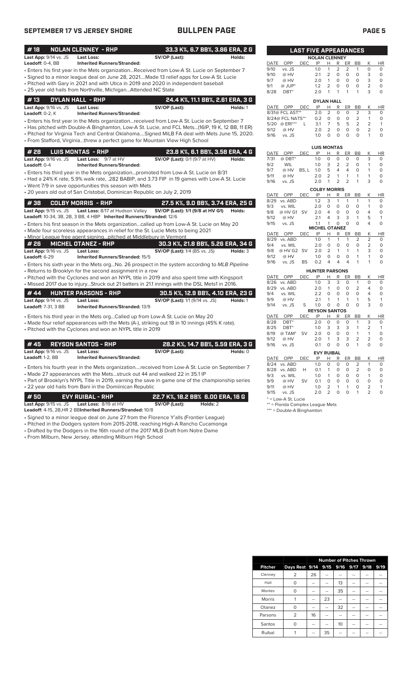## **SEPTEMBER 17 VS JERSEY SHORE BULLPEN PAGE PAGE 5**

| #18                          | <b>NOLAN CLENNEY - RHP</b>                                                                      | 33.3 K%, 6.7 BB%, 3.86 ERA, 2 G        |                                  |              |                    | <b>LAST FIVE APPEARANCES</b> |                       |                                  |                                  |                   |                     |                           |                    |
|------------------------------|-------------------------------------------------------------------------------------------------|----------------------------------------|----------------------------------|--------------|--------------------|------------------------------|-----------------------|----------------------------------|----------------------------------|-------------------|---------------------|---------------------------|--------------------|
| Last App: 9/14 vs. JS        | <b>Last Loss:</b>                                                                               | SV/OP (Last):                          | Holds:                           |              |                    |                              | <b>NOLAN CLENNEY</b>  |                                  |                                  |                   |                     |                           |                    |
| Leadoff: 0-4, BB             | <b>Inherited Runners/Stranded:</b>                                                              |                                        |                                  | DATE         | OPP                | DEC                          | IP                    | H                                |                                  | R ER              | <b>BB</b>           | Κ                         | HI                 |
|                              | Enters his first year in the Mets organizationReceived from Low-A St. Lucie on September 7 •    |                                        |                                  | 9/10         | vs. JS             |                              | 1.0                   | $\mathbf{1}$                     | 2                                | 2                 | 1                   | $\Omega$                  | $\Omega$           |
|                              | Signed to a minor league deal on June 28, 2021Made 13 relief apps for Low-A St. Lucie           |                                        |                                  | 9/10         | @ HV               |                              | 2.1                   | $\overline{2}$                   | 0                                | $\circ$           | $\circ$             | 3                         | $\circ$            |
|                              | • Pitched with Gary in 2021 and with Utica in 2019 and 2020 in independent baseball             |                                        |                                  | 9/7          | @ HV               |                              | 2.0                   | $\mathbf{1}$                     | $\mathsf O$                      | $\mathsf O$       | $\circ$             | 3                         | 0                  |
|                              |                                                                                                 |                                        |                                  | 9/1          | @ JUP*             |                              | 1.2                   | $\overline{2}$                   | $\mathbf 0$                      | $\circ$           | 0                   | $\overline{2}$            | $\circ$            |
|                              | • 25 year old hails from Northville, MichiganAttended NC State                                  |                                        |                                  | 8/28         | DBT <sup>*</sup>   |                              | 2.0                   | $\mathbf{1}$                     | 1                                | 1                 | 1                   | 3                         | $\circ$            |
| #13                          | DYLAN HALL - RHP                                                                                |                                        | 24.4 K%, 11.1 BB%, 2.61 ERA, 3 G |              |                    |                              | <b>DYLAN HALL</b>     |                                  |                                  |                   |                     |                           |                    |
| Last App: 9/16 vs. JS        | <b>Last Loss:</b>                                                                               | SV/OP (Last):                          | Holds: 1                         | DATE         | OPP                | <b>DEC</b>                   | IP                    | Н                                | R                                | <b>ER</b>         | <b>BB</b>           | K                         | HI                 |
| Leadoff: 0-2, K              | <b>Inherited Runners/Stranded:</b>                                                              |                                        |                                  |              | 8/31@ FCL AST**    |                              | 2.0                   | 2                                | $\circ$                          | $\circ$           | $\overline{2}$      | 3                         | 0                  |
|                              | • Enters his first year in the Mets organizationreceived from Low-A St. Lucie on September 7    |                                        |                                  |              | 8/24@ FCL NATS**   |                              | 0.2                   | $\circ$                          | $\circ$                          | $\circ$           | $\overline{2}$      | $\mathbf{1}$              | $\circ$            |
|                              | Has pitched with Double-A Binghamton, Low-A St. Lucie, and FCL Mets(16IP, 19 K, 12 BB, 11 ER) + |                                        |                                  |              | 5/20 @ ERI***      | L                            | 3.1                   | 7                                | 5                                | 5                 | 2                   | 2                         | $\mathbf{1}$       |
|                              |                                                                                                 |                                        |                                  | 9/12         | @ HV               |                              | 2.0                   | $\overline{2}$                   | $\mathbf 0$                      | $\circ$           | $\circ$             | $\overline{2}$            | $\circ$            |
|                              | . Pitched for Virginia Tech and Central OklahomaSigned MiLB FA deal with Mets June 15, 2020.    |                                        |                                  | 9/16         | vs. JS             |                              | 1.0                   | $\mathbf 0$                      | 0                                | $\mathbf 0$       | $\mathbf 0$         | $\mathbf{1}$              | $\circ$            |
|                              | • From Stafford, Virginiathrew a perfect game for Mountain View High School                     |                                        |                                  |              |                    |                              |                       |                                  |                                  |                   |                     |                           |                    |
|                              |                                                                                                 |                                        |                                  |              |                    |                              | <b>LUIS MONTAS</b>    |                                  |                                  |                   |                     |                           |                    |
| # 28                         | <b>LUIS MONTAS - RHP</b>                                                                        |                                        | 23.8 K%, 6.1 BB%, 3.58 ERA, 4 G  | <b>DATE</b>  | OPP                | <b>DEC</b>                   | IP                    | н                                | R                                | ER                | <b>BB</b>           | K                         | HI                 |
| Last App: 9/16 vs. JS        | Last Loss: 9/7 at HV                                                                            | SV/OP (Last): 0/1 (9/7 at HV)          | Holds:                           | 7/31         | $@$ DBT*           |                              | 1.0                   | $\circ$                          | $\mathbf 0$                      | $\circ$           | $\circ$             | 3                         | $\mathbf 0$        |
| Leadoff: 0-4                 | <b>Inherited Runners/Stranded:</b>                                                              |                                        |                                  | 9/2          | WIL                |                              | 1.0                   | 3                                | $\overline{2}$<br>$\overline{4}$ | 2                 | $\circ$             | $\mathbf{1}$              | $\Omega$           |
|                              | • Enters his third year in the Mets organizationpromoted from Low-A St. Lucie on 8/31           |                                        |                                  | 9/7          | @ HV               | BS, L 1.0                    |                       | 5                                |                                  | 4                 | $\circ$             | $\mathbf{1}$              | 0                  |
|                              | • Had a 24% K rate, 5.9% walk rate, .282 BABIP, and 3.73 FIP in 19 games with Low-A St. Lucie   |                                        |                                  | 9/11<br>9/16 | @ HV               |                              | 2.0<br>2.0            | $\overline{2}$<br>$\overline{1}$ | $\mathbf{1}$<br>$\overline{2}$   | $\mathbf{1}$<br>2 | $\mathbf{1}$<br>1   | $\mathbf{1}$<br>3         | $\circ$<br>0       |
|                              | • Went 7/9 in save opportunities this season with Mets                                          |                                        |                                  |              | vs. JS             |                              |                       |                                  |                                  |                   |                     |                           |                    |
|                              | • 20 years old out of San Cristobal, Dominican Republic on July 2, 2019                         |                                        |                                  |              |                    |                              | <b>COLBY MORRIS</b>   |                                  |                                  |                   |                     |                           |                    |
|                              |                                                                                                 |                                        |                                  | DATE         | OPP                | <b>DEC</b>                   | IP                    | н                                | R                                | <b>ER</b>         | <b>BB</b>           | К<br>$\mathbf{1}$         | HI<br>$\circ$      |
| #38                          | COLBY MORRIS - RHP                                                                              | 27.5 K%, 9.0 BB%, 3.74 ERA, 25 G       |                                  | 8/29<br>9/3  | vs. ABD<br>vs. WIL |                              | 1.2<br>2.0            | 3<br>$\circ$                     | $\mathbf{1}$<br>$\circ$          | 1<br>$\circ$      | 1<br>$\circ$        | $\mathbf{1}$              | 0                  |
| <b>Last App:</b> 9/15 vs. JS | Last Loss: 8/17 at Hudson Valley                                                                | SV/OP (Last): 1/1 (9/8 at HV G1)       | Holds:                           | 9/8          | @ HV G1 SV         |                              | 2.0                   | 4                                | $\circ$                          | $\circ$           | $\mathbf 0$         | $\overline{4}$            | 0                  |
|                              | Leadoff: 10-34, 3B, 2B, 3 BB, 4 HBP Inherited Runners/Stranded: 12/6                            |                                        |                                  | 9/12         | @ HV               |                              | 2.1                   | 4                                | 3                                | 3                 | $\mathbf{1}$        | 5                         | $\mathbf{1}$       |
|                              | • Enters his first season in the Mets organizationcalled up from Low-A St. Lucie on May 20      |                                        |                                  | 9/15         | vs. JS             |                              | 1.1                   | $\mathbf{1}$                     | $\Omega$                         | $\Omega$          | $\Omega$            | 4                         | $\circ$            |
|                              |                                                                                                 |                                        |                                  |              |                    |                              | <b>MICHEL OTANEZ</b>  |                                  |                                  |                   |                     |                           |                    |
|                              | • Made four scoreless appearances in relief for the St. Lucie Mets to being 2021                |                                        |                                  | DATE         | <b>OPP</b>         | <b>DEC</b>                   | IP                    | H                                | R                                | ER                | <b>BB</b>           | K                         | H                  |
|                              | • Minor League free agent signingpitched at Middlebury in Vermont                               |                                        |                                  | 8/29         | vs. ABD            |                              | 1.0                   | 1                                | 1                                | 1                 | 2                   | 2                         | 0                  |
| # 26                         | MICHEL OTANEZ - RHP                                                                             | 30.3 K%, 21.8 BB%, 5.26 ERA, 34 G      |                                  | 9/4          | vs. WIL            |                              | 2.0                   | $\Omega$                         | $\mathbf 0$                      | $\circ$           | $\Omega$            | $\overline{2}$            | 0                  |
| Last App: 9/16 vs. JS        | <b>Last Loss:</b>                                                                               | <b>SV/OP (Last):</b> 1/4 (BS vs. JS)   | Holds: 3                         | 9/8          | @ HV G2 SV         |                              | 2.0                   | $\overline{2}$                   | $\mathbf{1}$                     | $\mathbf{1}$      | $\mathbf{1}$        | 3                         | $\Omega$           |
| Leadoff: 6-29                | <b>Inherited Runners/Stranded: 15/5</b>                                                         |                                        |                                  | 9/12         | @ HV               |                              | 1.0                   | $\circ$                          | $\circ$                          | $\circ$           | $\mathbf{1}$        | $\mathbf{1}$              | $\Omega$           |
|                              | Enters his sixth year in the Mets orgNo. 26 prospect in the system according to MLB Pipeline    |                                        |                                  | 9/16         | vs. JS             | <b>BS</b>                    | 0.2                   | $\overline{4}$                   | $\overline{4}$                   | 4                 | $\mathbf{1}$        | 1                         | 0                  |
|                              | • Returns to Brooklyn for the second assignment in a row                                        |                                        |                                  |              |                    |                              | <b>HUNTER PARSONS</b> |                                  |                                  |                   |                     |                           |                    |
|                              | • Pitched with the Cyclones and won an NYPL title in 2019 and also spent time with Kingsport    |                                        |                                  | DATE         | <b>OPP</b>         | <b>DEC</b>                   | IP                    | н                                | R                                | ER                | BB                  | K                         | HI                 |
|                              | Missed 2017 due to injuryStruck out 21 batters in 21.1 innings with the DSL Mets1 in 2016. •    |                                        |                                  |              | 8/26 vs. ABD       |                              | 1.0                   | 3                                | 3                                | 0                 | $\mathbf{1}$        | 0                         | 0                  |
|                              |                                                                                                 |                                        |                                  | 8/29         | vs. ABD            |                              | 2.0                   | $\mathbf{1}$                     | 0                                | $\circ$           | $\overline{2}$      | 4                         | $\Omega$           |
| #44                          | <b>HUNTER PARSONS - RHP</b>                                                                     | 30.5 K%, 12.9 BB%, 4.10 ERA, 23 G      |                                  | 9/4          | vs. WIL            |                              | 2.2                   | $\Omega$                         | $\Omega$                         | $\Omega$          | $\Omega$            | $\overline{4}$            | $\Omega$           |
| Last App: 9/14 vs. JS        | <b>Last Loss:</b>                                                                               | <b>SV/OP (Last):</b> 1/1 (9/14 vs. JS) | Holds: 1                         | 9/9          | @ HV               |                              | 2.1                   | $\mathbf{1}$                     | $\mathbf{1}$                     | $\mathbf{1}$      | $\mathbf{1}$        | 5                         | $\mathbf{1}$       |
| Leadoff: 7-31, 3 BB          | Inherited Runners/Stranded: 13/9                                                                |                                        |                                  | 9/14         | vs. JS             | S                            | 1.0                   | $\circ$                          | $\circ$                          | $\circ$           | $\Omega$            | 3                         | $\circ$            |
|                              |                                                                                                 |                                        |                                  |              |                    |                              | <b>REYSON SANTOS</b>  |                                  |                                  |                   |                     |                           |                    |
|                              | • Enters his third year in the Mets orgCalled up from Low-A St. Lucie on May 20                 |                                        |                                  | DATE         | <b>OPP</b>         | <b>DEC</b>                   | IP                    | н                                | R                                | ER                | BB                  | Κ                         | HI                 |
|                              | • Made four relief appearances with the Mets (A-), striking out 18 in 10 innings (45% K rate).  |                                        |                                  | 8/28         | DBT <sup>*</sup>   |                              | 2.0                   | $\circ$                          | 0                                | $\circ$           | 1                   | 3                         | 0                  |
|                              | • Pitched with the Cyclones and won an NYPL title in 2019                                       |                                        |                                  | 8/25         | DBT <sup>*</sup>   |                              | 1.0                   | 3                                | 3                                | 3                 | 1                   | $\overline{2}$            | $\mathbf{1}$       |
|                              |                                                                                                 |                                        |                                  | 8/19         | @ TAM*             | <b>SV</b>                    | 2.0                   | $\Omega$                         | $\Omega$                         | $\Omega$          | $\mathbf{1}$        | $\mathbf{1}$              | $\Omega$           |
| #45                          | REYSON SANTOS - RHP                                                                             | 28.2 K%, 14.7 BB%, 5.59 ERA, 3 G       |                                  | 9/12<br>9/16 | @ HV<br>vs. JS     |                              | 2.0<br>0.1            | $\mathbf{1}$<br>$\circ$          | 3<br>$\circ$                     | 3<br>$\circ$      | $\overline{2}$<br>1 | $\overline{2}$<br>$\circ$ | $\circ$<br>$\circ$ |
|                              |                                                                                                 |                                        |                                  |              |                    |                              |                       |                                  |                                  |                   |                     |                           |                    |
| <b>Last App: 9/16 vs. JS</b> | Last Loss:                                                                                      | SV/OP (Last):                          | Holds: 0                         |              |                    |                              | <b>EVY RUIBAL</b>     |                                  |                                  |                   |                     |                           |                    |
| Leadoff: 1-2, BB             | <b>Inherited Runners/Stranded:</b>                                                              |                                        |                                  |              | DATE OPP           | <b>DEC</b>                   | IP                    | Н.                               | R                                | ER BB             |                     | К                         | HI                 |
|                              |                                                                                                 |                                        |                                  |              | 8/24 vs. ABD       |                              | 1.0                   | $\circ$                          | $\Omega$                         | $\Omega$          | $\overline{2}$      | $\mathbf{1}$              | $\Omega$           |

• Enters his fourth year in the Mets organization....received from Low-A St. Lucie on September 7 • Made 27 appearances with the Mets...struck out 44 and walked 22 in 35.1 IP

• Part of Brooklyn's NYPL Title in 2019, earning the save in game one of the championship series • 22 year old hails from Bani in the Domiinican Republic

**# 50 EVY RUIBAL - RHP 22.7 K%, 18.2 BB% 6.00 ERA, 16 G Last App:** 9/15 vs. JS **Last Loss:** 8/19 at HV **SV/OP (Last): Holds:** 2

**Leadoff:** 4-15, 2B,HR 2 BB**Inherited Runners/Stranded:** 10/8

- Signed to a minor league deal on June 27 from the Florence Y'alls (Frontier League)
- Pitched in the Dodgers system from 2015-2018, reaching High-A Rancho Cucamonga
- Drafted by the Dodgers in the 16th round of the 2017 MLB Draft from Notre Dame • From Milburn, New Jersey, attending Milburn High School

|          |                                                                                             | <b>LAST FIVE APPEARANCES</b> |                      |                |                |                |               |                |           |
|----------|---------------------------------------------------------------------------------------------|------------------------------|----------------------|----------------|----------------|----------------|---------------|----------------|-----------|
|          |                                                                                             |                              | <b>NOLAN CLENNEY</b> |                |                |                |               |                |           |
| DATE     | OPP                                                                                         | <b>DEC</b>                   | IP                   | н              | R              | ER             | <b>BB</b>     | К              | HR        |
| 9/10     | vs. JS                                                                                      |                              | 1.0                  | 1              | $\overline{2}$ | $\overline{2}$ | 1             | O              | O         |
| 9/10     | @ HV                                                                                        |                              | 2.1                  | $\overline{2}$ | O              | O              | O             | 3              | 0         |
| 9/7      | @ HV                                                                                        |                              | 2.0                  | 1              | O              | Ο              | O             | 3              | $\Omega$  |
| 9/1      | $@$ JUP*                                                                                    |                              | 1.2                  | $\overline{2}$ | O              | O              | O             | $\overline{2}$ | $\Omega$  |
| 8/28     | DBT*                                                                                        |                              | 2.0                  | 1              | 1              | 1              | 1             | 3              | $\Omega$  |
|          |                                                                                             |                              | <b>DYLAN HALL</b>    |                |                |                |               |                |           |
| DATE     | OPP                                                                                         | <b>DEC</b>                   | IP                   | н              | R              | ER             | <b>BB</b>     | K              | <b>HR</b> |
|          | 8/31@ FCL AST**                                                                             |                              | 2.0                  | $\overline{2}$ | $\Omega$       | $\Omega$       | 2             | 3              | $\Omega$  |
|          | 8/24@ FCL NATS**                                                                            |                              | 0.2                  | ∩              | ∩              | U              | $\mathcal{P}$ | 1              | $\Omega$  |
| $-1 - 1$ | and the second control of the second control of the second control of the second control of |                              | - -                  |                |                |                |               |                |           |

| 5/20        | @ ERI***   | L          | 3.1                  | 7        | 5 | 5              | 2                   | 2                   | 1         |
|-------------|------------|------------|----------------------|----------|---|----------------|---------------------|---------------------|-----------|
| 9/12        | @ HV       |            | 2.0                  | 2        | 0 | 0              | 0                   | $\overline{2}$      | 0         |
| 9/16        | vs. JS     |            | 1.0                  | $\Omega$ | 0 | O              | 0                   | 1                   | 0         |
|             |            |            |                      |          |   |                |                     |                     |           |
|             |            |            | <b>LUIS MONTAS</b>   |          |   |                |                     |                     |           |
| <b>DATE</b> | OPP        | <b>DEC</b> | IP                   | н        | R | ER             | BB                  | Κ                   | <b>HR</b> |
| 7/31        | @ DBT*     |            | 1.0                  | 0        | 0 | 0              | 0                   | 3                   | 0         |
| 9/2         | <b>WIL</b> |            | 1.0                  | 3        | 2 | 2              | 0                   | 1                   | 0         |
| 9/7         | @ HV       | BS, L      | 1.0                  | 5        | 4 | 4              | 0                   | 1                   | 0         |
| 9/11        | @ HV       |            | 2.0                  | 2        | 1 | 1              | 1                   | 1                   | 0         |
| 9/16        | vs. JS     |            | 2.0                  | 1        | 2 | $\overline{2}$ | 1                   | 3                   | 0         |
|             |            |            |                      |          |   |                |                     |                     |           |
|             |            |            | <b>COLBY MORRIS</b>  |          |   |                |                     |                     |           |
| DATE        | OPP        | DEC        | IP                   | н        | R | ER             | BB                  | Κ                   | ΗR        |
| 8/29        | vs. ABD    |            | 1.2                  | 3        | 1 | 1              | 1                   | 1                   | 0         |
| 9/3         | vs. WIL    |            | 2.0                  | 0        | 0 | 0              | 0                   | 1                   | 0         |
| 9/8         | @ HV G1    | SV         | 2.0                  | 4        | 0 | 0              | 0                   | 4                   | 0         |
| 9/12        | @ HV       |            | 2.1                  | 4        | 3 | 3              | 1                   | 5                   | 1         |
| 9/15        | vs. JS     |            | 1.1                  | 1        | 0 | O              | O                   | 4                   | 0         |
|             |            |            | <b>MICHEL OTANEZ</b> |          |   |                |                     |                     |           |
| DATE        | OPP        | <b>DEC</b> | IP                   | н        | R | ER             | ВB                  | Κ                   | ΗR        |
| 8/29<br>9/4 | vs. ABD    |            | 1.0<br>2.0           | 1        | 1 | 1              | $\overline{2}$<br>0 | 2<br>$\overline{2}$ | 0         |

| 9/16        | vs. JS               | <b>BS</b>  | 0.2                   | 4        | 4        | 4        | 1              | 1              | $\Omega$ |
|-------------|----------------------|------------|-----------------------|----------|----------|----------|----------------|----------------|----------|
|             |                      |            | <b>HUNTER PARSONS</b> |          |          |          |                |                |          |
| <b>DATE</b> | OPP                  | <b>DEC</b> | IP                    | н        | R        | ER       | BB             | Κ              | ΗR       |
| 8/26        | vs. ABD              |            | 1.0                   | 3        | 3        | 0        | 1              | 0              | 0        |
| 8/29        | vs. ABD              |            | 2.0                   | 1        | 0        | O        | $\overline{2}$ | 4              | 0        |
| 9/4         | vs. WIL              |            | 2.2                   | 0        | $\Omega$ | O        | $\Omega$       | 4              | 0        |
| 9/9         | @ HV                 |            | 2.1                   | 1        | 1        | 1        | 1              | 5              | 1        |
| 9/14        | vs. JS               | S          | 1.0                   | 0        | 0        | 0        | 0              | 3              | 0        |
|             |                      |            | <b>REYSON SANTOS</b>  |          |          |          |                |                |          |
| DATE        | OPP                  | DEC        | IP                    | Н        | R        | ER       | <b>BB</b>      | Κ              | ΗR       |
| 8/28        | DBT*                 |            | 2.0                   | 0        | 0        | 0        | 1              | 3              | 0        |
| 8/25        | DBT*                 |            | 1.0                   | 3        | 3        | 3        | 1              | $\overline{2}$ | 1        |
| 8/19        | @ TAM*               | SV         | 2.0                   | $\Omega$ | 0        | O        | 1              | 1              | 0        |
| 9/12        | @ HV                 |            | 2.0                   | 1        | 3        | 3        | 2              | 2              | 0        |
| 9/16        | vs. JS               |            | 0.1                   | $\Omega$ | 0        | $\Omega$ | 1              | $\Omega$       | 0        |
|             |                      |            | <b>EVY RUIBAL</b>     |          |          |          |                |                |          |
| <b>DATE</b> | OPP                  | DEC        | IP                    | н        | R        | ER       | BB             | Κ              | ΗR       |
| 8/24        | vs. ABD              |            | 1.0                   | $\Omega$ | 0        | O        | 2              | 1              | 0        |
| 8/28        | vs. ABD              | Н          | 0.1                   | 1        | 0        | O        | 2              | 0              | 0        |
| 9/3         | vs. WIL              |            | 1.0                   | 1        | 0        | O        | 0              | 1              | 0        |
| 9/9         | @ HV                 | SV         | 0.1                   | $\Omega$ | 0        | O        | 0              | $\Omega$       | 0        |
| 9/11        | @ HV                 |            | 1.0                   | 2        | 1        | 1        | 0              | 2              | 1        |
| 9/15        | vs. JS               |            | 2.0                   | 2        | 0        | O        | 1              | $\overline{2}$ | 0        |
|             | $\sim$ $\sim$ $\sim$ |            |                       |          |          |          |                |                |          |

\* = Low-A St. Lucie

\*\* = Florida Complex League Mets

\*\*\* = Double-A Binghamton

|                | <b>Number of Pitches Thrown</b> |    |    |                     |  |   |      |  |  |  |  |
|----------------|---------------------------------|----|----|---------------------|--|---|------|--|--|--|--|
| <b>Pitcher</b> | Days Rest 9/14                  |    |    | 9/15 9/16 9/17 9/18 |  |   | 9/19 |  |  |  |  |
| Clenney        | 2                               | 26 |    |                     |  |   |      |  |  |  |  |
| Hall           | O                               |    |    | 13                  |  |   |      |  |  |  |  |
| Montes         | O                               |    |    | 35                  |  |   |      |  |  |  |  |
| <b>Morris</b>  |                                 |    | 23 |                     |  |   |      |  |  |  |  |
| Otanez         | O                               |    |    | 32                  |  |   |      |  |  |  |  |
| Parsons        | 2                               | 16 |    |                     |  |   |      |  |  |  |  |
| Santos         | ∩                               | -- | -- | 10                  |  | - |      |  |  |  |  |
| Ruibal         |                                 |    | 35 |                     |  |   |      |  |  |  |  |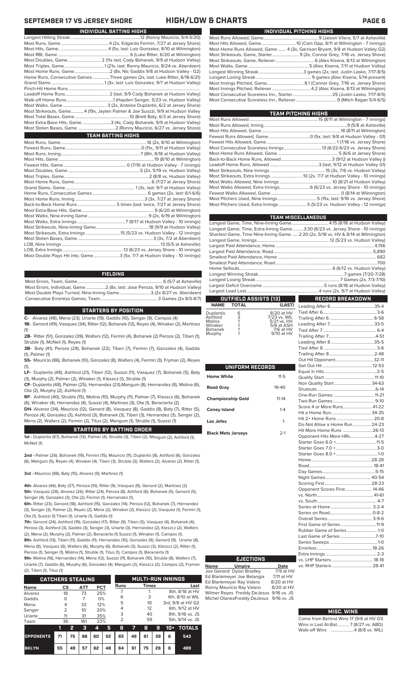| INDIVIDUAL PITCHING HIGHS                                                     |
|-------------------------------------------------------------------------------|
|                                                                               |
|                                                                               |
| Most Home Runs Allowed, Game 4 (3x, Garrison Bryant, 9/8 at Hudson Valley G2) |
| Most Strikeouts, Game, Starter 9 (2x, Connor Grey, 7/16 vs. Jersey Shore)     |
|                                                                               |
|                                                                               |
|                                                                               |
|                                                                               |
|                                                                               |
|                                                                               |
|                                                                               |
|                                                                               |

| TEAM PITCHING HIGHS                                                        |  |
|----------------------------------------------------------------------------|--|
|                                                                            |  |
|                                                                            |  |
|                                                                            |  |
|                                                                            |  |
|                                                                            |  |
|                                                                            |  |
|                                                                            |  |
|                                                                            |  |
|                                                                            |  |
|                                                                            |  |
| Most Strikeouts, Extra Innings  10 (2x, 7/7 at Hudson Valley - 10 innings) |  |
|                                                                            |  |
|                                                                            |  |
|                                                                            |  |
|                                                                            |  |
| Most Pitchers Used, Extra Innings 5 (5/23 vs. Hudson Valley - 12 innings)  |  |
|                                                                            |  |

|                                                                                    | <b>TEAM MISCELLANEOUS</b> |
|------------------------------------------------------------------------------------|---------------------------|
|                                                                                    |                           |
| Longest Game, Time, Extra-Inning Game3:30 (6/23 vs. Jersey Shore - 10 innings)     |                           |
| Shortest Game, Time Nine-Inning Game.  2:20 (2x, 5/18 vs. HV & 8/14 at Wilmington) |                           |
|                                                                                    |                           |
|                                                                                    |                           |
|                                                                                    |                           |
|                                                                                    |                           |
|                                                                                    |                           |
|                                                                                    |                           |
|                                                                                    |                           |
|                                                                                    |                           |
|                                                                                    |                           |
|                                                                                    |                           |
| <b>OUTFIELD ASSISTS [13]</b>                                                       | RECORD BREAKDOWN          |

### **NAME TOTAL** Leading After 6........................................35-4

| <b>Duplantis</b> | 6 | 8/20 at HV   |
|------------------|---|--------------|
| Ashford          | 3 | 7/23 vs. WIL |
| Molina           | 1 | 5/21 vs. HV  |
| Winaker          |   | 5/6 at ASH   |
| Bohanek          |   | 7/6 at HV    |
| Murphy           |   | 9/10 at HV   |
|                  |   |              |

| UNIFORM RECORDS           |           |
|---------------------------|-----------|
| <b>Home White</b>         | $11 - 5$  |
| <b>Road Gray</b>          | $19 - 40$ |
| <b>Championship Gold</b>  | $11 - 14$ |
| <b>Coney Island</b>       | $1 - 4$   |
| Los Jefes                 | $1 -$     |
| <b>Black Mets Jerseys</b> | $2-1$     |

| Non Quality Start 34-63       |  |
|-------------------------------|--|
|                               |  |
|                               |  |
|                               |  |
| Score 4 or More Runs 41-22    |  |
|                               |  |
| Hit 2+ Home Runs  20-8        |  |
| Do Not Allow a Home Run 24-23 |  |
| Hit More Home Runs  26-13     |  |
| Opponent Hits More HRs 4-27   |  |
|                               |  |
|                               |  |
|                               |  |
|                               |  |
|                               |  |
|                               |  |
|                               |  |
|                               |  |
| Opponent Scores First 14-46   |  |
|                               |  |
|                               |  |
|                               |  |
|                               |  |
|                               |  |
|                               |  |
| Rubber Game of Series 1-0     |  |
|                               |  |
|                               |  |
|                               |  |
|                               |  |
|                               |  |
|                               |  |
|                               |  |

### **MISC. WINS**

| Come from Behind Wins 17 (9/8 at HV G1) |  |  |
|-----------------------------------------|--|--|
| Wins in Last At-Bat7 (8/27 vs. ABD)     |  |  |
| Walk-off Wins 4 (8/8 vs. WIL)           |  |  |

# **SEPTEMBER 17 VS JERSEY SHORE HIGH/LOW & CHARTS PAGE 6**

| INDIVIDUAL BATTING HIGHS                                                       |
|--------------------------------------------------------------------------------|
|                                                                                |
|                                                                                |
|                                                                                |
|                                                                                |
| Most Doubles, Game 2 (11x last: Cody Bohanek, 9/9 at Hudson Valley)            |
|                                                                                |
|                                                                                |
| Home Runs, Consecutive Games Three games (2x, last: Luke Ritter, 6/18-6/21)    |
|                                                                                |
|                                                                                |
|                                                                                |
|                                                                                |
|                                                                                |
| Most Strikeouts, Game 4 (19x, Jaylen Palmer & Joe Suozzi, 9/9 at Hudson Valley |
|                                                                                |
| Most Extra-Base Hits, Game3 (4x, Cody Bohanek, 9/9 at Hudson Valley)           |
|                                                                                |
| <b>TEAM BATTING HIGHS</b>                                                      |
|                                                                                |
|                                                                                |
|                                                                                |
|                                                                                |
|                                                                                |
|                                                                                |
|                                                                                |
|                                                                                |
|                                                                                |
|                                                                                |
|                                                                                |
|                                                                                |
|                                                                                |
|                                                                                |
|                                                                                |
|                                                                                |
|                                                                                |

**FIELDING**

Most Errors, Team, Game...............................................................................6 (5/7 at Asheville) .............<br>.2 (8x, last: Jose Peroza, 9/10 at Hudson Valley)<br>1 Game...............................3 (2x 8/27 vs. Aberdeen) Most Double Plays Turned, Nine-Inning Game.............................3 (2x 8/27 vs. Aberdeen) Consecutive Errorless Games, Team...

Most Stolen Bases, Game......................................................................3 (3x, 7/2 at Aberdeen)

LOB, Extra Innings........................................................13 (6/23 vs. Jersey Shore - 10 innings)

.. 13 (5/5 at Asheville)

Most Double Plays Hit into, Game........................3 (5x, 7/7 at Hudson Valley - 10 innings)

## **STARTERS BY POSITION**

**C-** Alvarez (48), Mena (23), Uriarte (19), Gaddis (10), Senger (9), Campos (4) **1B-** Genord (49), Vasquez (34), Ritter (12), Bohanek (12), Reyes (4), Winaker (2), Martinez

(1) **2B-** Ritter (51), Gonzalez (39), Walters (12), Fermin (4), Bohanek (2) Peroza (2), Tiberi (1),

Struble (1), McNeil (1), Reyes (1) **3B-** Baty (41), Peroza (29), Bohanek (22), Tiberi (7), Fermin (7), Gonzalez (4), Gaddis (1), Palmer (1)

**SS-** Mauricio (86), Bohanek (10), Gonzalez (8), Walters (4), Fermin (3), Fryman (2), Reyes (1),

**LF-** Duplantis (48), Ashford (21), Tiberi (12), Suozzi (11), Vasquez (7), Bohanek (5), Baty (3), Murphy (2), Palmer (2), Winaker (1), Kleszcz (1), Struble (1)

**CF-** Duplantis (48), Palmer (25), Hernandez (23),Mangum (8), Hernandez (8), Molina (6), Ota (2), Murphy (2), Ashford (1)

**RF-** Ashford (40), Struble (15), Molina (10), Murphy (11), Palmer (7), Kleszcz (6), Bohanek (6), Winaker (4), Hernandez (4), Suozzi (4), Martinez (3), Ota (1), Beracierta (2)

**DH-** Alvarez (34), Mauricio (12), Genord (8), Vasquez (8), Gaddis (8), Baty (7), Ritter (5), Peroza (4), Gonzalez (3), Ashford (3), Bohanek (3), Tiberi (3), Hernandez (3), Senger (2), Mena (2), Walters (2), Fermin (2), Titus (2), Mangum (1), Struble (1), Suozzi (1)

## **STARTERS BY BATTING ORDER**

**1st -** Duplantis (87), Bohanek (13), Palmer (4), Struble (3), Tiberi (2), Mangum (2), Ashford (1), McNeil (1)

**2nd -** Palmer (26), Bohanek (19), Fermin (15), Mauricio (11), Duplantis (8), Ashford (6), Gonzalez (6), Mangum (5), Reyes (4), Winaker (4), Tiberi (3), Struble (3), Walters (2), Alvarez (2), Ritter (1),

**3rd -** Mauricio (88), Baty (15), Alvarez (9), Martinez (1)

**4th-** Alvarez (44), Baty (37), Peroza (10), Ritter (9), Vasquez (9), Genord (2), Martinez (2) **5th-** Vasquez (28), Alvarez (26), Ritter (24), Peroza (8), Ashford (6), Bohanek (5), Genord (5), Senger (4), Gonzalez (3), Ota (2), Fermin (1), Hernandez (1),

**6th-** Ritter (23), Genord (18), Ashford (15), Gonzalez (14), Peroza (12), Bohanek (7), Hernandez (3), Senger (3), Palmer (2), Reyes (2), Mena (2), Winaker (2), Kleszcz (2), Vasquez (1), Fermin (1), Ota (1), Suozzi (1) Tiberi (1), Uriarte (1), Gaddis (1)

**7th-** Genord (24), Ashford (19), Gonzalez (17), Ritter (9), Tiberi (5), Vasquez (4), Bohanek (4), Peroza (3), Ashford (3), Gaddis (3), Senger (3), Uriarte (3), Hernandez (2), Kleszcz (2), Walters (2), Mena (2), Murphy (2), Palmer (2), Beracierta (1) Suozzi (1), Winaker (1), Campos (1), **8th-** Ashford (13), Tiberi (11), Gaddis (11), Hernandez (10), Gonzalez (9), Genord (9), Uriarte (8),

Mena (8), Vasquez (6), Walters (6), Murphy (6), Bohanek (3), Suozzi (3), Kleszcz (2), Ritter (1), Peroza (1), Senger (1), Molina (1), Struble (1), Titus (1), Campos (1), Beracierta (1) **9th-** Molina (16), Hernandez (14), Mena (12), Suozzi (11), Bohanek (10), Struble (8), Walters (7),

Uriarte (7), Gaddis (6), Murphy (6), Gonzalez (4), Mangum (2), Kleszcz (2), Campos (2), Fryman (2), Tiberi (1), Titus (1)

| <b>CATCHERS STEALING</b> |                |    |            |            |    | <b>MULTI-RUN INNINGS</b> |    |                |    |                  |                   |  |                  |
|--------------------------|----------------|----|------------|------------|----|--------------------------|----|----------------|----|------------------|-------------------|--|------------------|
| <b>Name</b>              | CS             |    | <b>ATT</b> | <b>PCT</b> |    | Runs                     |    | <b>Times</b>   |    |                  | Last              |  |                  |
| Alvarez                  | 18             |    | 73         | 25%        |    |                          |    |                |    |                  | 8th, 8/18 at HV   |  |                  |
| Gaddis                   | ∩              |    | 7          | 0%         |    | 6                        |    | 3              |    |                  | 4th, 8/10 at WIL  |  |                  |
| Mena                     | 4              |    | 33         | 12%        |    | 5                        |    |                | 10 |                  | 3rd, 9/8 at HV G2 |  |                  |
| Senger                   | $\overline{2}$ |    | 10         | 20%        |    | 4                        |    | 12             |    | 6th, 9/12 at HV  |                   |  |                  |
| Uriarte                  | 11             |    | 31         | 35%        |    | 3                        |    | 40             |    | 8th, 9/16 vs. JS |                   |  |                  |
| Team                     | 36             |    | 161        | 22%        |    |                          |    | $\overline{2}$ |    | 59               |                   |  | 5th, 9/14 vs. JS |
|                          | ī              | 2  | з          | 4          | 5  | 6                        | 7  | 8              | 9  | $10+$            | <b>TOTALS</b>     |  |                  |
| <b>OPPONENTS</b>         | 71             | 75 | 86         | 60         | 52 | 65                       | 49 | 61             | 39 | 6                | 543               |  |                  |
| <b>BKLYN</b>             | 55             | 49 | 57         | 62         | 48 | 64                       | 61 | 75             | 26 | 6                | 489               |  |                  |

| name | <b>Umpire</b>              | Date       | v: |
|------|----------------------------|------------|----|
|      | Joe Genord Dylan Bradley   | 7/9 at HV  |    |
|      | Ed Blankmeyer Joe Belangia | 7/11 at HV |    |
|      | Ed Blankmeyer Ray Valero   | 8/20 at HV |    |
|      | Ronny Mauricio Ray Valero  | 8/20 at HV |    |

Wilmer Reyes Freddy DeJesus 9/16 vs. JS Michel OtanezFreddy DeJesus 9/16 vs. JS

**EJECTIONS**

**Name U** Joe Genord Dy Ed Blankmeyer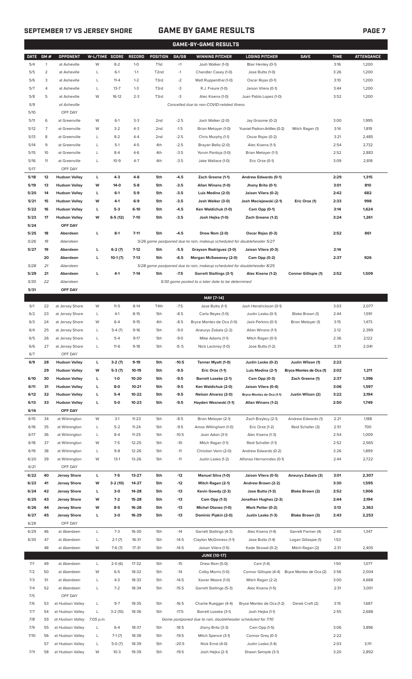# **SEPTEMBER 17 VS JERSEY SHORE GAME BY GAME RESULTS PAGE 7**

|             | <b>GAME-BY-GAME RESULTS</b> |                        |                       |           |           |                   |         |                                                                         |                               |                         |             |                   |
|-------------|-----------------------------|------------------------|-----------------------|-----------|-----------|-------------------|---------|-------------------------------------------------------------------------|-------------------------------|-------------------------|-------------|-------------------|
| <b>DATE</b> | GM#                         | OPPONENT               | <b>W-L/TIME SCORE</b> |           | RECORD    | <b>POSITION</b>   | GA/GB   | <b>WINNING PITCHER</b>                                                  | <b>LOSING PITCHER</b>         | <b>SAVE</b>             | <b>TIME</b> | <b>ATTENDANCE</b> |
| 5/4         | $\mathbf{1}$                | at Asheville           | W                     | $8 - 2$   | $1 - 0$   | T <sub>1st</sub>  | $+1$    | Josh Walker (1-0)                                                       | Blair Henley (0-1)            |                         | 3:16        | 1,200             |
| 5/5         | 2                           | at Asheville           | L                     | $6-1$     | $1 - 1$   | T <sub>2</sub> nd | $-1$    | Chandler Casey (1-0)                                                    | Jose Butto (1-0)              |                         | 3:26        | 1,200             |
| 5/6         | 3                           | at Asheville           | L                     | $11 - 4$  | $1 - 2$   | T3rd              | $-2$    | Matt Ruppenthal (1-0)                                                   | Oscar Rojas (0-1)             |                         | 3:10        | 1,200             |
| 5/7         | 4                           | at Asheville           | L                     | $13 - 7$  | $1 - 3$   | T3rd              | -3      | R.J. Freure (1-0)                                                       | Jaison Vilera (0-1)           |                         | 3:44        | 1,200             |
| 5/8         | 5                           | at Asheville           | W                     | $16-12$   | $2 - 3$   | T3rd              | -3      | Alec Kisena (1-0)                                                       | Juan Pablo Lopez (1-0)        |                         | 3:52        | 1,200             |
| 5/9         |                             | at Asheville           |                       |           |           |                   |         | Cancelled due to non-COVID-related illness                              |                               |                         |             |                   |
| 5/10        |                             | OFF DAY                |                       |           |           |                   |         |                                                                         |                               |                         |             |                   |
|             |                             |                        |                       |           |           |                   |         |                                                                         |                               |                         |             |                   |
| 5/11        | 6                           | at Greenville          | W                     | $6-1$     | $3-3$     | 2nd               | $-2.5$  | Josh Walker (2-0)                                                       | Jay Groome (0-2)              |                         | 3:00        | 1,995             |
| 5/12        | 7                           | at Greenville          | W                     | $3 - 2$   | $4 - 3$   | 2 <sub>nd</sub>   | $-1.5$  | Brian Metoyer (1-0)                                                     | Yusniel Padron-Artilles (0-2) | Mitch Ragan (1)         | 3:14        | 1,819             |
| 5/13        | 8                           | at Greenville          | L                     | $8 - 2$   | $4 - 4$   | 2 <sub>nd</sub>   | $-2.5$  | Chris Murphy (1-1)                                                      | Oscar Rojas (0-2)             |                         | 3:21        | 2,485             |
| 5/14        | 9                           | at Greenville          | L                     | $5-1$     | $4 - 5$   | 4th               | $-2.5$  | Brayan Bello (2-0)                                                      | Alec Kisena (1-1)             |                         | 2:54        | 2,732             |
| 5/15        | 10                          | at Greenville          | L                     | $8 - 4$   | $4-6$     | 4th               | $-3.5$  | Yorvin Pantoja (1-0)                                                    | Brian Metoyer (1-1)           |                         | 2:52        | 2,883             |
| 5/16        | 11                          | at Greenville          | L                     | $10-9$    | $4 - 7$   | 4th               | $-3.5$  | Jake Wallace (1-0)                                                      | Eric Orze (0-1)               |                         | 3:09        | 2,818             |
| 5/17        |                             | OFF DAY                |                       |           |           |                   |         |                                                                         |                               |                         |             |                   |
| 5/18        | 12                          | <b>Hudson Valley</b>   | L                     | $4 - 3$   | $4 - 8$   | 5th               | $-4.5$  | Zach Greene (1-1)                                                       | Andrew Edwards (0-1)          |                         | 2:29        | 1,315             |
| 5/19        | 13                          | <b>Hudson Valley</b>   | W                     | 14-0      | $5-8$     | 5th               | $-3.5$  | Allan Winans (1-0)                                                      | Jhony Brito (0-1)             |                         | 3:01        | 810               |
| 5/20        | 14                          | <b>Hudson Valley</b>   | L                     | $6-1$     | $5-9$     | 5th               | $-3.5$  | Luis Medina (2-0)                                                       | Jaison Vilera (0-2)           |                         | 2:42        | 682               |
| 5/21        | 15                          | <b>Hudson Valley</b>   | W                     | $4-1$     | $6-9$     | 5th               | $-3.5$  | Josh Walker (3-0)                                                       | Josh Maciejewski (2-1)        | Eric Orze (1)           | 2:33        | 998               |
| 5/22        | 16                          | <b>Hudson Valley</b>   | L                     | $5-3$     | $6-10$    | 5th               | $-4.5$  | Ken Waldichuk (1-0)                                                     | Cam Opp (0-1)                 |                         | 3:14        | 1,624             |
| 5/23        | 17                          | <b>Hudson Valley</b>   | W                     | $6-5(12)$ | $7-10$    | 5th               | $-3.5$  | Josh Hejka (1-0)                                                        | Zach Greene (1-2)             |                         | 3:24        | 1,261             |
| 5/24        |                             | OFF DAY                |                       |           |           |                   |         |                                                                         |                               |                         |             |                   |
| 5/25        | 18                          | Aberdeen               | L                     | $8-1$     | $7 - 11$  | 5th               | $-4.5$  | Drew Rom (2-0)                                                          | Oscar Rojas (0-3)             |                         | 2:52        | 861               |
| 5/26        | 19                          | Aberdeen               |                       |           |           |                   |         | 5/26 game postponed due to rain, makeup scheduled for doubleheader 5/27 |                               |                         |             |                   |
| 5/27        | 19                          | Aberdeen               | г                     | $6-2(7)$  | $7-12$    | 5th               | $-5.5$  | Grayson Rodriguez (3-0)                                                 | Jaison Vilera (0-3)           |                         | 2:14        |                   |
|             | 20                          | Aberdeen               | г                     | $10-1(7)$ | $7-13$    | 5th               | $-6.5$  | Morgan McSweeney (2-0)                                                  | Cam Opp (0-2)                 |                         | 2:37        | 926               |
| 5/28        | 21                          | Aberdeen               |                       |           |           |                   |         | 5/28 game postponed due to rain, makeup scheduled for doubleheader 8/25 |                               |                         |             |                   |
| 5/29        | 21                          | Aberdeen               | г                     | $4-1$     | $7-14$    | 5th               | $-7.5$  | <b>Garrett Stallings (3-1)</b>                                          | Alec Kisena (1-2)             | Connor Gillispie (1)    | 2:52        | 1,509             |
| 5/30        | 22                          | Aberdeen               |                       |           |           |                   |         | 5/30 game posted to a later date to be determined                       |                               |                         |             |                   |
| 5/31        |                             |                        |                       |           |           |                   |         |                                                                         |                               |                         |             |                   |
|             |                             | OFF DAY                |                       |           |           |                   |         |                                                                         |                               |                         |             |                   |
|             |                             |                        |                       |           |           |                   |         | MAY [7-14]                                                              |                               |                         |             |                   |
| 6/1         | 22                          | at Jersey Shore        | W                     | $11 - 5$  | $8-14$    | T4th              | $-7.5$  | Jose Butto (1-1)                                                        | Josh Hendrickson (0-1)        |                         | 3:03        | 2,077             |
| 6/2         | 23                          | at Jersey Shore        | L                     | $4-1$     | $8 - 15$  | 5th               | $-8.5$  | Carlo Reyes (1-0)                                                       | Justin Lasko (0-1)            | Blake Brown (1)         | 2:44        | 1,591             |
| 6/3         | 24                          | at Jersey Shore        | W                     | $6 - 4$   | $9-15$    | 4th               | $-8.5$  | Bryce Montes de Oca (1-0)                                               | Jack Perkins (0-1)            | Brian Metoyer (1)       | 3:15        | 1,473             |
| 6/4         | 25                          | at Jersey Shore        | L                     | $5-4(7)$  | $9-16$    | 5th               | $-9.0$  | Aneurys Zabala (2-2)                                                    | Allan Winans (1-1)            |                         | 2:12        | 2,399             |
| 6/5         | 26                          | at Jersey Shore        | L                     | $5 - 4$   | $9 - 17$  | 5th               | $-9.0$  | Mike Adams (1-1)                                                        | Mitch Ragan (0-1)             |                         | 2:36        | 2,122             |
| 6/6         | 27                          | at Jersey Shore        | L                     | $11-6$    | $9-18$    | 5th               | $-9.5$  | Nick Lackney (1-0)                                                      | Jose Butto (1-2)              |                         | 3:31        | 2,041             |
| 6/7         |                             | OFF DAY                |                       |           |           |                   |         |                                                                         |                               |                         |             |                   |
| 6/9         | 28                          | <b>Hudson Valley</b>   | L                     | $3-2(7)$  | $9-19$    | 5th               | $-10.5$ | Tanner Myatt (1-0)                                                      | Justin Lasko (0-2)            | Justin Wilson (1)       | 2:22        |                   |
|             | 29                          | <b>Hudson Valley</b>   | W                     | $5-3(7)$  | 10-19     | 5th               | $-9.5$  | Eric Orze (1-1)                                                         | Luis Medina (2-1)             | Bryce Montes de Oca (1) | 2:02        | 1,211             |
| 6/10        | 30                          | <b>Hudson Valley</b>   | L                     | $1-0$     | 10-20     | 5th               | -9.5    | <b>Barrett Loseke (2-1)</b>                                             | Cam Opp (0-3)                 | Zach Greene (1)         | 2:37        | 1,396             |
| 6/11        | 31                          | <b>Hudson Valley</b>   | г                     | $8-0$     | $10 - 21$ | 5th               | -9.5    | Ken Waldichuk (2-0)                                                     | Jaison Vilera (0-4)           |                         | 3:06        | 1,597             |
| 6/12        | 32                          | <b>Hudson Valley</b>   | г                     | $5-4$     | 10-22     | 5th               | $-9.5$  | <b>Nelson Alvarez (2-0)</b>                                             | Bryce Montes de Oca (1-1)     | Justin Wilson (2)       | 3:22        | 2,194             |
| 6/13        | 33                          | <b>Hudson Valley</b>   | L                     | 5-0       | $10 - 23$ | 5th               | $-9.5$  | Hayden Wesneski (1-1)                                                   | Allan Winans (1-2)            |                         | 2:50        | 1,749             |
| 6/14        |                             | OFF DAY                |                       |           |           |                   |         |                                                                         |                               |                         |             |                   |
| 6/15        | 34                          | at Wilmington          | W                     | $3-1$     | $11 - 23$ | 5th               | $-8.5$  | Brian Metoyer (2-1)                                                     | Zach Brzykcy (2-1)            | Andrew Edwards (1)      | 2:21        | 1,188             |
| 6/16        | 35                          | at Wilmington          | L                     | $5 - 2$   | $11 - 24$ | 5th               | $-9.5$  | Amos Willingham (1-0)                                                   | Eric Orze (1-2)               | Reid Schaller (3)       | 2:51        | 700               |
| 6/17        | 36                          | at Wilmington          | L                     | $8 - 4$   | $11 - 25$ | 5th               | $-10.5$ | Joan Adon (3-1)                                                         | Alec Kisena (1-3)             |                         | 2:54        | 1,009             |
| 6/18        | 37                          | at Wilmington          | W                     | $7 - 5$   | $12 - 25$ | 5th               | $-10$   | Mitch Ragan (1-1)                                                       | Reid Schaller (1-1)           |                         | 2:52        | 2,565             |
| 6/19        | 38                          | at Wilmington          | L                     | $9 - 8$   | 12-26     | 5th               | $-11$   | Christian Vann (2-0)                                                    | Andrew Edwards (0-2)          |                         | 3:26        | 1,899             |
|             |                             |                        |                       |           |           |                   |         |                                                                         |                               |                         |             |                   |
| 6/20        | 39                          | at Wilmington          | W                     | $13-1$    | 13-26     | 5th               | $-11$   | Justin Lasko (1-2)                                                      | Alfonso Hernanndez (0-1)      |                         | 2:44        | 2,722             |
| 6/21        |                             | OFF DAY                |                       |           |           |                   |         |                                                                         |                               |                         |             |                   |
| 6/22        | 40                          | <b>Jersey Shore</b>    | L                     | $7-5$     | 13-27     | 5th               | $-12$   | <b>Manuel Silva (1-0)</b>                                               | Jaison Vilera (0-5)           | Aneurys Zabala (3)      | 3:01        | 2,307             |
| 6/23        | 41                          | <b>Jersey Shore</b>    | W                     | $3-2(10)$ | 14-27     | 5th               | $-12$   | Mitch Ragan (2-1)                                                       | Andrew Brown (2-2)            |                         | 3:30        | 1,595             |
| 6/24        | 42                          | <b>Jersey Shore</b>    | L                     | $3-0$     | 14-28     | 5th               | $-13$   | Kevin Gowdy (2-3)                                                       | Jose Butto (1-3)              | Blake Brown (2)         | 2:52        | 1,906             |
| 6/25        | 43                          | <b>Jersey Shore</b>    | W                     | $7-2$     | 15-28     | 5th               | $-13$   | Cam Opp (1-3)                                                           | Jonathan Hughes (2-3)         |                         | 2:44        | 2,194             |
| 6/26        | 44                          | <b>Jersey Shore</b>    | W                     | $8-5$     | 16-28     | 5th               | $-13$   | <b>Michel Otanez (1-0)</b>                                              | Mark Potter (0-2)             |                         | 3:13        | 2,363             |
| 6/27        | 45                          | <b>Jersey Shore</b>    | г                     | 3-0       | 16-29     | 5th               | -13     | Dominic Pipkin (2-0)                                                    | Justin Lasko (1-3)            | Blake Brown (3)         | 2:43        | 2,253             |
| 6/28        |                             | OFF DAY                |                       |           |           |                   |         |                                                                         |                               |                         |             |                   |
| 6/29        | 46                          | at Aberdeen            | L                     | $7-3$     | 16-30     | 5th               | $-14$   | Garrett Stallings (4-3)                                                 | Alec Kisena (1-4)             | Garrett Farmer (4)      | 2:40        | 1,347             |
| 6/30        | 47                          | at Aberdeen            | L                     | $2-1(7)$  | 16-31     | 5th               | $-14.5$ | Clayton McGinness (1-1)                                                 | Jose Butto (1-4)              | Logan Gillaspie (1)     | 1:53        |                   |
|             | 48                          | at Aberdeen            | W                     | $7-6(7)$  | $17 - 31$ | 5th               | $-14.5$ | Jaison Vilera (1-5)                                                     | Kade Strowd (0-2)             | Mitch Ragan (2)         | 2:31        | 2,405             |
|             |                             |                        |                       |           |           |                   |         | <b>JUNE [10-17]</b>                                                     |                               |                         |             |                   |
| 7/1         | 49                          | at Aberdeen            | L                     | $2-0(6)$  | 17-32     | 5th               | $-15$   | Drew Rom (5-0)                                                          | Cam (1-4)                     |                         | 1:50        | 1,077             |
| 7/2         | 50                          | at Aberdeen            | W                     | $6 - 5$   | 18-32     | 5th               | $-14$   | Colby Morris (1-0)                                                      | Connor Gillispie (4-4)        | Bryce Montes de Oca (2) | 3:56        | 2,004             |
| 7/3         | 51                          | at Aberdeen            | L                     | $4 - 3$   | 18-33     | 5th               | $-14.5$ | Xavier Moore (1-0)                                                      | Mitch Ragan (2-2)             |                         | 3:00        | 4,668             |
|             | 52                          |                        | L                     | $7 - 2$   | 18-34     |                   | $-15.5$ |                                                                         |                               |                         |             |                   |
| 7/4<br>7/5  |                             | at Aberdeen<br>OFF DAY |                       |           |           | 5th               |         | Garrett Stallings (5-3)                                                 | Alec Kisena (1-5)             |                         | 2:31        | 3,001             |
|             |                             |                        |                       |           |           |                   |         |                                                                         |                               |                         |             |                   |
| 7/6         | 53                          | at Hudson Valley       | L                     | $9 - 7$   | 18-35     | 5th               | $-16.5$ | Charlie Ruegger (4-4)                                                   | Bryce Montes de Oca (1-2)     | Derek Craft (2)         | 3:15        | 1,687             |
| 7/7         | 54                          | at Hudson Valley       | L                     | $3-2(10)$ | 18-36     | 5th               | $-17.5$ | Barrett Loseke (3-1)                                                    | Josh Hejka (1-1)              |                         | 2:55        | 2,688             |
| 7/8         | 55                          | at Hudson Valley       | 7:05 p.m.             |           |           |                   |         | Game postponed due to rain, doubleheader scheduled for 7/10             |                               |                         |             |                   |
| 7/9         | 55                          | at Hudson Valley       | L                     | $6 - 4$   | 18-37     | 5th               | $-18.5$ | Jhony Brito (3-3)                                                       | Cam Opp (1-5)                 |                         | 3:06        | 3,896             |
| 7/10        | 56                          | at Hudson Valley       | L                     | $7-1(7)$  | 18-38     | 5th               | $-19.5$ | Mitch Spence (3-1)                                                      | Connor Grey (0-1)             |                         | 2:22        |                   |
|             | 57                          | at Hudson Valley       | L                     | $5-0(7)$  | 18-39     | 5th               | $-20.5$ | Nick Ernst (4-0)                                                        | Justin Lasko (1-4)            |                         | 2:03        | 3,111             |

7/11 58 at Hudson Valley W 10-3 19-39 5th -19.5 Josh Hejka (2-1) Shawn Semple (3-1) 3:20 2,892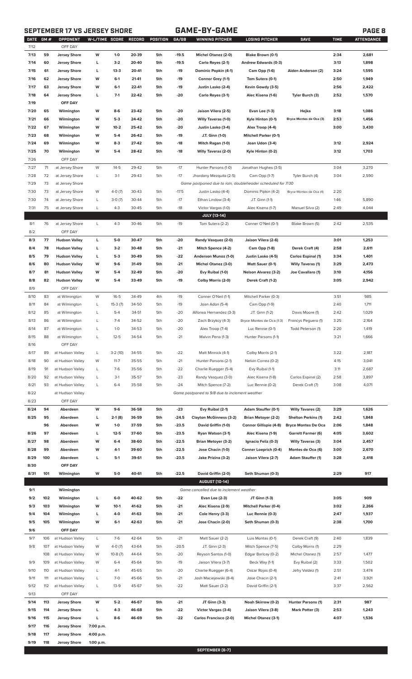# **SEPTEMBER 17 VS JERSEY SHORE GAME-BY-GAME PAGE 8**

| DATE GM# |     | OPPONENT             | W-L/TIME SCORE |           | RECORD | POSITION | GA/GB   | WINNING PITCHER                                             | <b>LOSING PITCHER</b>        | <b>SAVE</b>                | <b>TIME</b> | <b>ATTENDANCE</b> |
|----------|-----|----------------------|----------------|-----------|--------|----------|---------|-------------------------------------------------------------|------------------------------|----------------------------|-------------|-------------------|
| 7/12     |     | OFF DAY              |                |           |        |          |         |                                                             |                              |                            |             |                   |
| 7/13     | 59  | <b>Jersey Shore</b>  | W              | $1-0$     | 20-39  | 5th      | $-19.5$ | Michel Otanez (2-0)                                         | Blake Brown (0-1)            |                            | 2:34        | 2,681             |
| 7/14     | 60  | <b>Jersey Shore</b>  | г              | $3-2$     | 20-40  | 5th      | $-19.5$ | Carlo Reyes (2-1)                                           | Andrew Edwards (0-3)         |                            | 3:13        | 1,898             |
| 7/15     | 61  | <b>Jersey Shore</b>  | г              | $13-3$    | 20-41  | 5th      | $-19$   | Dominic Popkin (4-1)                                        | Cam Opp (1-6)                | Aiden Anderson (2)         | 3:24        | 1,595             |
| 7/16     | 62  | <b>Jersey Shore</b>  | W              | $6-1$     | 21-41  | 5th      | -19     | Connor Grey (1-1)                                           | Tom Sutera (0-1)             |                            | 2:50        | 1,949             |
| 7/17     | 63  | <b>Jersey Shore</b>  | W              | $6 - 1$   | 22-41  | 5th      | $-19$   | Justin Lasko (2-4)                                          | Kevin Gowdy (3-5)            |                            | 2:56        | 2,422             |
| 7/18     | 64  | <b>Jersey Shore</b>  | г              | $7-1$     | 22-42  | 5th      | -20     | Carlo Reyes (3-1)                                           | Alec Kisena (1-6)            | Tyler Burch (3)            | 2:52        | 1,570             |
| 7/19     |     | OFF DAY              |                |           |        |          |         |                                                             |                              |                            |             |                   |
| 7/20     | 65  | Wilmington           | W              | $8-6$     | 23-42  | 5th      | -20     | Jaison Vilera (2-5)                                         | Evan Lee (1-3)               | Hejka                      | 3:18        | 1,086             |
|          |     |                      |                |           |        |          |         |                                                             |                              |                            |             |                   |
| 7/21     | 66  | Wilmington           | W              | $5-3$     | 24-42  | 5th      | -20     | <b>Willy Taveras (1-0)</b>                                  | Kyle Hinton (0-1)            | Bryce Montes de Oca (3)    | 2:53        | 1,456             |
| 7/22     | 67  | Wilmington           | W              | $10 - 2$  | 25-42  | 5th      | -20     | Justin Lasko (3-4)                                          | Alex Troop (4-4)             |                            | 3:00        | 3,430             |
| 7/23     | 68  | Wilmington           | W              | $5-4$     | 26-42  | 5th      | $-19$   | J.T. Ginn (1-0)                                             | <b>Mitchell Parker (0-1)</b> |                            |             |                   |
| 7/24     | 69  | Wilmington           | W              | $8-3$     | 27-42  | 5th      | $-18$   | Mitch Ragan (1-0)                                           | Joan Udon (3-4)              |                            | 3:12        | 2,924             |
| 7/25     | 70  | Wilmington           | W              | $5-4$     | 28-42  | 5th      | $-18$   | <b>Willy Taveras (2-0)</b>                                  | Kyle Hinton (0-2)            |                            | 3:12        | 1,703             |
| 7/26     |     | OFF DAY              |                |           |        |          |         |                                                             |                              |                            |             |                   |
| 7/27     | 71  | at Jersey Shore      | W              | $14 - 5$  | 29-42  | 5th      | $-17$   | Hunter Parsons (1-0)                                        | Jonathan Hughes (3-5)        |                            | 3:04        | 3,270             |
| 7/28     | 72  | at Jersey Shore      | L              | $3-1$     | 29-43  | 5th      | $-17$   | Jhordany Mezquita (2-5)                                     | Cam Opp (1-7)                | Tyler Burch (4)            | 3:04        | 2,590             |
| 7/29     | 73  | at Jersey Shore      |                |           |        |          |         | Game postponed due to rain, doubleheader scheduled for 7/30 |                              |                            |             |                   |
|          |     |                      |                |           |        |          |         |                                                             |                              |                            |             |                   |
| 7/30     | 73  | at Jersey Shore      | W              | $4-0(7)$  | 30-43  | 5th      | $-17.5$ | Justin Lasko (4-4)                                          | Dominic Pipkin (4-2)         | Bryce Montes de Oca (4)    | 2:20        |                   |
| 7/30     | 74  | at Jersey Shore      | L              | $3-0(7)$  | 30-44  | 5th      | $-17$   | Ethan Lindow (3-4)                                          | J.T. Ginn (1-1)              |                            | 1:46        | 5,890             |
| 7/31     | 75  | at Jersey Shore      | L              | $4 - 3$   | 30-45  | 5th      | $-18$   | Victor Vargas (1-0)                                         | Alec Kisena (1-7)            | Manuel Silva (2)           | 2:49        | 4,044             |
|          |     |                      |                |           |        |          |         | <b>JULY [13-14]</b>                                         |                              |                            |             |                   |
| 8/1      | 76  | at Jersey Shore      | L              | $4 - 3$   | 30-46  | 5th      | $-19$   | Tom Sutera (2-2)                                            | Conner O'Neil (0-1)          | Blake Brown (5)            | 2:42        | 2,535             |
| 8/2      |     | OFF DAY              |                |           |        |          |         |                                                             |                              |                            |             |                   |
| 8/3      | 77  | <b>Hudson Valley</b> | г              | 5-0       | 30-47  | 5th      | -20     | Randy Vasquez (2-0)                                         | Jaison Vilera (2-6)          |                            | 3:01        | 1,253             |
| 8/4      | 78  | <b>Hudson Valley</b> | г              | $3-2$     | 30-48  | 5th      | $-21$   | Mitch Spence (4-2)                                          | Cam Opp (1-8)                | Derek Craft (4)            | 2:58        | 2,611             |
| 8/5      | 79  | <b>Hudson Valley</b> | Г              | $5-3$     | 30-49  | 5th      | -22     | Anderson Munoz (1-0)                                        | Justin Lasko (4-5)           | <b>Carlos Espinal (1)</b>  | 3:34        | 1,401             |
|          |     |                      |                |           |        |          |         |                                                             |                              |                            |             |                   |
| 8/6      | 80  | <b>Hudson Valley</b> | W              | $9-6$     | 31-49  | 5th      | $-21$   | <b>Michel Otanez (3-0)</b>                                  | Matt Sauer (0-1)             | <b>Willy Taveras (1)</b>   | 3:29        | 2,473             |
| 8/7      | 81  | <b>Hudson Valley</b> | W              | $5-4$     | 32-49  | 5th      | -20     | Evy Ruibal (1-0)                                            | <b>Nelson Alvarez (3-2)</b>  | Joe Cavallaro (1)          | 3:10        | 4,156             |
| 8/8      | 82  | <b>Hudson Valley</b> | W              | $5-4$     | 33-49  | 5th      | $-19$   | Colby Morris (2-0)                                          | Derek Craft (1-2)            |                            | 3:05        | 2,942             |
| 8/9      |     | OFF DAY              |                |           |        |          |         |                                                             |                              |                            |             |                   |
| 8/10     | 83  | at Wilmington        | W              | $16 - 5$  | 34-49  | 4th      | $-19$   | Conner O'Neil (1-1)                                         | Mitchell Parker (0-3)        |                            | 3:51        | 985               |
| 8/11     | 84  | at Wilmington        | L              | $15-3(7)$ | 34-50  | 5th      | $-19$   | Joan Adon (5-4)                                             | Cam Opp (1-9)                |                            | 2:40        | 1,711             |
| 8/12     | 85  | at Wilmington        | L              | $5 - 4$   | 34-51  | 5th      | $-20$   | Alfonso Hernandez (3-3)                                     | J.T. Ginn (1-2)              | Davis Moore (1)            | 2:42        | 1,029             |
| 8/13     | 86  | at Wilmington        | L              | $7-4$     | 34-52  | 5th      | $-20$   | Zach Brzykcy (4-3)                                          | Bryce Montes de Oca (1-3)    | Francys Peguero (1)        | 3:25        | 2,164             |
| 8/14     | 87  | at Wilmington        | L              | $1 - 0$   | 34-53  | 5th      | $-20$   | Alex Troop (7-4)                                            | Luc Rennie (0-1)             | Todd Peterson (1)          | 2:20        | 1,419             |
|          |     |                      |                |           |        |          |         |                                                             |                              |                            |             |                   |
| 8/15     | 88  | at Wilmington        | L              | $12 - 5$  | 34-54  | 5th      | $-21$   | Malvin Pena (1-3)                                           | Hunter Parsons (1-1)         |                            | 3:21        | 1,666             |
| 8/16     |     | OFF DAY              |                |           |        |          |         |                                                             |                              |                            |             |                   |
| 8/17     | 89  | at Hudson Valley     | L              | $3-2(10)$ | 34-55  | 5th      | $-22$   | Matt Minnick (4-1)                                          | Colby Morris (2-1)           |                            | 3:22        | 2,187             |
| 8/18     | 90  | at Hudson Valley     | W              | $11 - 7$  | 35-55  | 5th      | $-21$   | Hunter Parsons (2-1)                                        | Nelvin Correa (0-2)          |                            | 4:15        | 3,041             |
| 8/19     | 91  | at Hudson Valley     | L              | $7-6$     | 35-56  | 5th      | $-22$   | Charlie Ruegger (5-4)                                       | Evy Ruibal (1-1)             |                            | 3:11        | 2,687             |
| 8/20     | 92  | at Hudson Valley     | L              | $3-1$     | 35-57  | 5th      | $-23$   | Randy Vasquez (3-0)                                         | Alec Kisena (1-8)            | Carlos Espinal (2)         | 2:58        | 3,897             |
| 8/21     | 93  | at Hudson Valley     | L              | $6 - 4$   | 35-58  | 5th      | $-24$   | Mitch Spence (7-2)                                          | Luc Rennie (0-2)             | Derek Craft (7)            | 3:08        | 4,071             |
| 8/22     |     | at Hudson Valley     |                |           |        |          |         | Game postponed to 9/8 due to inclement weather              |                              |                            |             |                   |
|          |     |                      |                |           |        |          |         |                                                             |                              |                            |             |                   |
| 8/23     |     | OFF DAY              |                |           |        |          |         |                                                             |                              |                            |             |                   |
| 8/24     | 94  | Aberdeen             | W              | $9-6$     | 36-58  | 5th      | $-23$   | Evy Ruibal (2-1)                                            | Adam Stauffer (0-1)          | <b>Willy Tavares (2)</b>   | 3:29        | 1,626             |
| 8/25     | 95  | Aberdeen             | L              | $2-1(8)$  | 36-59  | 5th      | $-24.5$ | <b>Clayton McGinness (3-2)</b>                              | <b>Brian Metoyer (2-2)</b>   | <b>Shelton Perkins (1)</b> | 2:42        | 1,848             |
|          | 96  | Aberdeen             | W              | $1-0$     | 37-59  | 5th      | $-23.5$ | David Griffin (1-0)                                         | Connor Gillispie (4-8)       | <b>Bryce Montes De Oca</b> | 2:06        | 1,848             |
| 8/26     | 97  | Aberdeen             | L              | $12 - 5$  | 37-60  | 5th      | $-23.5$ | Ryan Watson (3-1)                                           | Alec Kisena (1-9)            | <b>Garrett Farmer (6)</b>  | 4:05        | 3,602             |
| 8/27     | 98  | Aberdeen             | W              | $6-4$     | 38-60  | 5th      | $-22.5$ | <b>Brian Metoyer (3-2)</b>                                  | Ignacio Feliz (0-3)          | <b>Willy Taveras (3)</b>   | 3:04        | 2,457             |
| 8/28     | 99  | Aberdeen             | W              | $4-1$     | 39-60  | 5th      | $-22.5$ | Jose Chacin (1-0)                                           | Conner Loeprich (0-4)        | Montes de Oca (6)          | 3:00        | 2,670             |
| 8/29     | 100 | Aberdeen             | L              | $5-1$     | 39-61  | 5th      | $-23.5$ | Jake Prizina (3-2)                                          | Jaison Vilera (2-7)          | <b>Adam Stauffer (1)</b>   | 3:28        | 2,418             |
|          |     |                      |                |           |        |          |         |                                                             |                              |                            |             |                   |
| 8/30     |     | OFF DAY              |                |           |        |          |         |                                                             |                              |                            |             |                   |
| 8/31     | 101 | Wilmington           | W              | $5-0$     | 40-61  | 5th      | $-22.5$ | David Griffin (2-0)                                         | Seth Shuman (0-3)            |                            | 2:29        | 917               |
|          |     |                      |                |           |        |          |         | <b>AUGUST [10-14]</b>                                       |                              |                            |             |                   |
| 9/1      |     | Wilmington           |                |           |        |          |         | Game cancelled due to inclement weather                     |                              |                            |             |                   |
| 9/2      | 102 | Wilmington           | L              | $6-0$     | 40-62  | 5th      | $-22$   | Evan Lee (2-3)                                              | JT Ginn (1-3)                |                            | 3:05        | 909               |
| 9/3      | 103 | Wilmington           | W              | $10-1$    | 41-62  | 5th      | $-21$   | Alec Kisena (2-9)                                           | <b>Mitchell Parker (0-4)</b> |                            | 3:02        | 2,266             |
| 9/4      | 104 | Wilmington           | г              | $4-0$     | 41-63  | 5th      | $-21$   | Cole Henry (3-3)                                            | Luc Rennie (0-3)             |                            | 2:47        | 1,937             |
| 9/5      | 105 | Wilmington           | W              | $6-1$     | 42-63  | 5th      | $-21$   | Jose Chacin (2-0)                                           | Seth Shuman (0-3)            |                            | 2:38        | 1,700             |
|          |     |                      |                |           |        |          |         |                                                             |                              |                            |             |                   |
| 9/6      |     | OFF DAY              |                |           |        |          |         |                                                             |                              |                            |             |                   |
| 9/7      | 106 | at Hudson Valley     | L              | $7-6$     | 42-64  | 5th      | $-21$   | Matt Sauer (2-2)                                            | Luis Montas (0-1)            | Derek Craft (9)            | 2:40        | 1,839             |
| 9/8      | 107 | at Hudson Valley     | W              | $4-0(7)$  | 43-64  | 5th      | $-20.5$ | J.T. Ginn (2-3)                                             | Mitch Spence (7-5)           | Colby Morris (1)           | 2:29        |                   |
|          | 108 | at Hudson Valley     | W              | $10-8(7)$ | 44-64  | 5th      | $-20$   | Reyson Santos (1-0)                                         | Edgar Barlcay (0-2)          | Michel Otanez (1)          | 2:57        | 1,477             |
| 9/9      | 109 | at Hudson Valley     | W              | $6 - 4$   | 45-64  | 5th      | $-19$   | Jaison Vilera (3-7)                                         | Beck Way (1-1)               | Evy Ruibal (2)             | 3:33        | 1,502             |
| 9/10     | 110 | at Hudson Valley     | L              | $4-1$     | 45-65  | 5th      | $-20$   | Charlie Ruegger (6-4)                                       | Oscar Rojas (0-4)            | Jefry Valdez (1)           | 2:51        | 3,474             |
| 9/11     | 111 | at Hudson Valley     | L              | $7-0$     | 45-66  | 5th      | $-21$   | Josh Maciejewski (8-4)                                      | Jose Chacin (2-1)            |                            | 2:41        | 3,921             |
| 9/12     | 112 | at Hudson Valley     | L              | $13-9$    | 45-67  | 5th      | $-22$   | Matt Sauer (3-2)                                            | David Griffin (2-1)          |                            | 3:37        | 2,562             |
| 9/13     |     | OFF DAY              |                |           |        |          |         |                                                             |                              |                            |             |                   |
|          |     |                      |                |           |        |          |         |                                                             |                              |                            |             |                   |
| 9/14     | 113 | <b>Jersey Shore</b>  | W              | $5-2$     | 46-67  | 5th      | $-21$   | JT Ginn (3-3)                                               | Noah Skirrow (0-2)           | <b>Hunter Parsons (1)</b>  | 2:31        | 987               |
| 9/15     | 114 | <b>Jersey Shore</b>  | г              | $4-3$     | 46-68  | 5th      | -22     | Victor Vargas (3-4)                                         | Jaison Vilera (3-8)          | Mark Potter (3)            | 2:53        | 1,243             |
| 9/16     | 115 | <b>Jersey Shore</b>  | L              | $8-6$     | 46-69  | 5th      | $-22$   | <b>Carlos Francisco (2-0)</b>                               | Michel Otanez (3-1)          |                            | 4:07        | 1,536             |
| 9/17     | 116 | <b>Jersey Shore</b>  | 7:00 p.m.      |           |        |          |         |                                                             |                              |                            |             |                   |
|          |     |                      | 4:00 p.m.      |           |        |          |         |                                                             |                              |                            |             |                   |
| 9/18     | 117 | <b>Jersey Shore</b>  |                |           |        |          |         |                                                             |                              |                            |             |                   |
| 9/19     | 118 | <b>Jersey Shore</b>  | 1:00 p.m.      |           |        |          |         |                                                             |                              |                            |             |                   |

**SEPTEMBER (6-7)**